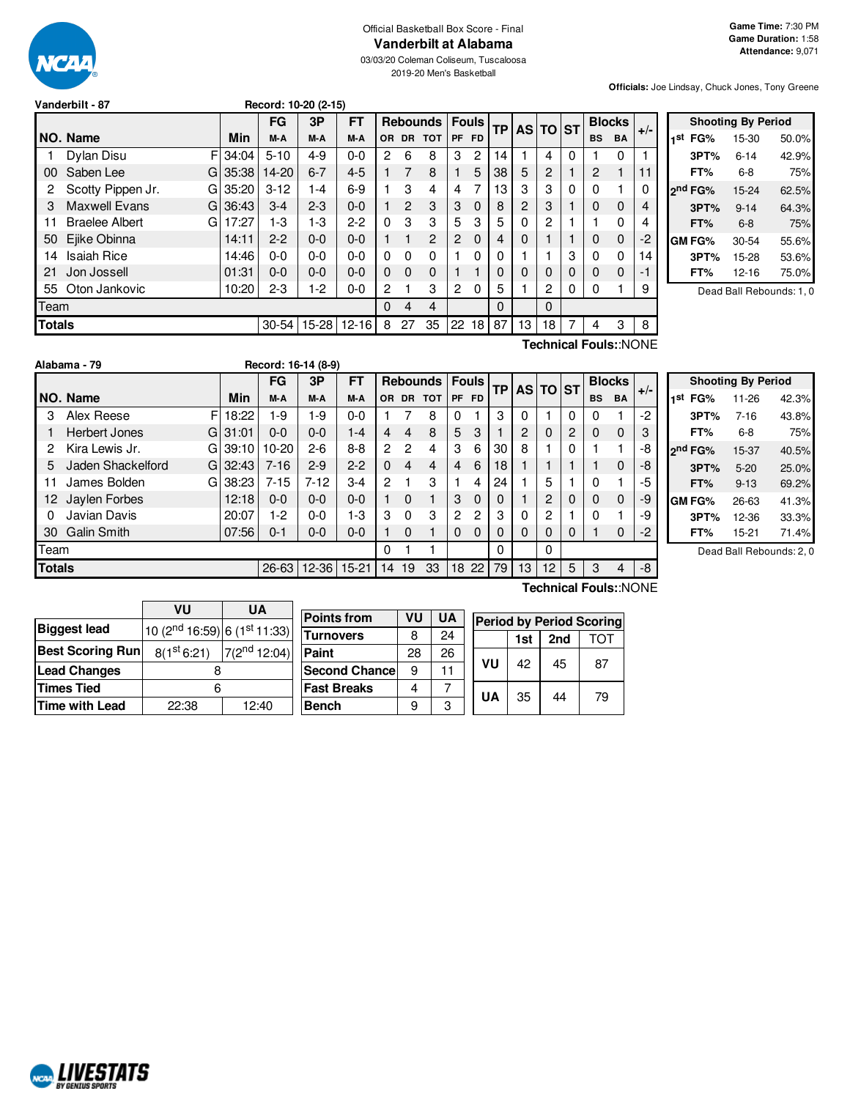

# Official Basketball Box Score - Final **Vanderbilt at Alabama**

03/03/20 Coleman Coliseum, Tuscaloosa 2019-20 Men's Basketball

**Officials:** Joe Lindsay, Chuck Jones, Tony Greene

| Vanderbilt - 87 | Record: 10-20 (2-15) |
|-----------------|----------------------|
|                 |                      |

|               |                              |       | FG        | 3P        | <b>FT</b> | <b>Fouls</b><br><b>Rebounds</b> |                |                |    | AS TO ST<br><b>TP</b> |          |          |          |   |           |             |       | <b>Blocks</b> |  |
|---------------|------------------------------|-------|-----------|-----------|-----------|---------------------------------|----------------|----------------|----|-----------------------|----------|----------|----------|---|-----------|-------------|-------|---------------|--|
|               | NO. Name                     | Min   | M-A       | M-A       | M-A       | OR.                             |                | DR TOT         |    | PF FD                 |          |          |          |   | <b>BS</b> | <b>BA</b>   | $+/-$ |               |  |
|               | F<br>Dylan Disu              | 34:04 | $5 - 10$  | $4 - 9$   | $0 - 0$   | 2                               | 6              | 8              | 3  | $\overline{c}$        | 14       |          | 4        | 0 |           | $\Omega$    |       |               |  |
| 00            | Saben Lee<br>GI              | 35:38 | $14 - 20$ | $6 - 7$   | $4 - 5$   | 1.                              | 7              | 8              |    | 5                     | 38       | 5        | 2        |   | 2         |             | 11    |               |  |
| 2             | Scotty Pippen Jr.<br>GI      | 35:20 | $3 - 12$  | 1-4       | $6-9$     |                                 | 3              | 4              | 4  |                       | 13       | 3        | 3        | 0 |           |             |       |               |  |
| 3             | <b>Maxwell Evans</b><br>Gl   | 36:43 | $3 - 4$   | $2-3$     | $0 - 0$   | 1                               | $\overline{c}$ | 3              | 3  | $\Omega$              | 8        | 2        | 3        |   | 0         | $\mathbf 0$ | 4     |               |  |
| 11            | <b>Braelee Albert</b><br>G   | 17:27 | 1-3       | $1-3$     | $2 - 2$   | $\Omega$                        | 3              | 3              | 5  | 3                     | 5        | 0        | 2        |   |           | $\Omega$    | 4     |               |  |
| 50            | Ejike Obinna                 | 14:11 | $2 - 2$   | $0 - 0$   | $0 - 0$   | 1                               |                | $\overline{2}$ | 2  | $\Omega$              | 4        | $\Omega$ |          |   | 0         | $\mathbf 0$ | -2    |               |  |
| 14            | <b>Isaiah Rice</b>           | 14:46 | $0 - 0$   | $0 - 0$   | $0 - 0$   | 0                               | 0              | $\mathbf 0$    |    | $\Omega$              | 0        |          |          | 3 | 0         | 0           | 14    |               |  |
| 21            | Jon Jossell                  | 01:31 | $0 - 0$   | $0 - 0$   | $0 - 0$   | $\mathbf{0}$                    | 0              | $\Omega$       |    |                       | 0        | 0        | $\Omega$ | 0 | 0         | $\mathbf 0$ | -1    |               |  |
| 55            | Oton Jankovic                | 10:20 | $2 - 3$   | $1-2$     | $0 - 0$   | 2                               |                | 3              | 2  | 0                     | 5        |          | 2        | 0 | 0         |             | 9     |               |  |
| Team          |                              |       |           |           |           | $\Omega$                        | 4              | 4              |    |                       | $\Omega$ |          | $\Omega$ |   |           |             |       |               |  |
| <b>Totals</b> |                              |       | $30 - 54$ | $15 - 28$ | $12 - 16$ | 8                               | 27             | 35             | 22 | 18                    | 87       | 13       | 18       | 7 | 4         | 3           | 8     |               |  |
|               | <b>Technical Fouls::NONE</b> |       |           |           |           |                                 |                |                |    |                       |          |          |          |   |           |             |       |               |  |

|     |                     | <b>Shooting By Period</b> |       |
|-----|---------------------|---------------------------|-------|
| 1st | FG%                 | 15-30                     | 50.0% |
|     | 3PT%                | $6 - 14$                  | 42.9% |
|     | FT%                 | $6 - 8$                   | 75%   |
|     | 2 <sup>nd</sup> FG% | $15 - 24$                 | 62.5% |
|     | 3PT%                | $9 - 14$                  | 64.3% |
|     | FT%                 | $6 - 8$                   | 75%   |
|     | GM FG%              | 30-54                     | 55.6% |
|     | 3PT%                | 15-28                     | 53.6% |
|     | FT%                 | 12-16                     | 75.0% |
|     |                     |                           |       |

Dead Ball Rebounds: 1, 0

|               | Alabama - 79       |   |          | Record: 16-14 (8-9) |             |           |          |          |                 |          |              |                 |                |                 |             |           |               |       |  |
|---------------|--------------------|---|----------|---------------------|-------------|-----------|----------|----------|-----------------|----------|--------------|-----------------|----------------|-----------------|-------------|-----------|---------------|-------|--|
|               |                    |   |          | FG                  | 3P          | <b>FT</b> |          |          | <b>Rebounds</b> |          | <b>Fouls</b> | TPI             |                | AS TO ST        |             |           | <b>Blocks</b> |       |  |
|               | NO. Name           |   | Min      | M-A                 | M-A         | M-A       |          | OR DR    | <b>TOT</b>      |          | PF FD        |                 |                |                 |             | <b>BS</b> | <b>BA</b>     | $+/-$ |  |
| 3             | Alex Reese         | F | 18:22    | $1-9$               | 1-9         | $0 - 0$   |          |          | 8               | 0        |              | 3               | $\Omega$       |                 | $\Omega$    | 0         |               | -2    |  |
|               | Herbert Jones      |   | GI 31:01 | $0 - 0$             | $0 - 0$     | $1 - 4$   | 4        | 4        | 8               | 5        | 3            |                 | $\overline{c}$ | 0               | 2           | 0         | $\mathbf 0$   | 3     |  |
| 2             | Kira Lewis Jr.     |   | GI 39:10 | $10 - 20$           | $2-6$       | $8 - 8$   | 2        | 2        | 4               | 3        | 6            | 30              | 8              |                 | $\Omega$    |           |               | -8    |  |
| 5             | Jaden Shackelford  |   | G132:43  | $7 - 16$            | $2-9$       | $2 - 2$   | $\Omega$ | 4        | 4               | 4        | 6            | 18 <sub>1</sub> |                |                 |             |           | $\mathbf 0$   | -8    |  |
| 11            | James Bolden       |   | GI 38:23 | $7 - 15$            | $7 - 12$    | $3-4$     | 2        |          | 3               |          | 4            | 24              |                | 5               |             | 0         |               | -5    |  |
| 12.           | Jaylen Forbes      |   | 12:18    | $0 - 0$             | $0 - 0$     | $0 - 0$   |          | $\Omega$ |                 | 3        | $\Omega$     | 0               |                | 2               | $\mathbf 0$ | 0         | $\Omega$      | -9    |  |
| 0             | Javian Davis       |   | 20:07    | 1-2                 | $0 - 0$     | $1 - 3$   | 3        | $\Omega$ | 3               | 2        | 2            | 3               | 0              | 2               |             | 0         |               | -9    |  |
| 30            | <b>Galin Smith</b> |   | 07:56    | 0-1                 | $0 - 0$     | $0 - 0$   |          | $\Omega$ |                 | $\Omega$ | $\Omega$     | 0               | $\Omega$       | 0               | $\Omega$    |           | $\mathbf 0$   | $-2$  |  |
| Team          |                    |   |          |                     |             |           | 0        |          |                 |          |              | 0               |                | 0               |             |           |               |       |  |
| <b>Totals</b> |                    |   |          | $26 - 63$           | 12-36 15-21 |           | 14       | 19       | 33              |          | 18 22        | 79              | 13             | 12 <sup>°</sup> | 5           | 3         | 4             | -8    |  |

|                     | <b>Shooting By Period</b> |       |
|---------------------|---------------------------|-------|
| 1 <sup>st</sup> FG% | 11-26                     | 42.3% |
| 3PT%                | $7 - 16$                  | 43.8% |
| FT%                 | 6-8                       | 75%   |
| 2nd FG%             | 15-37                     | 40.5% |
| 3PT%                | $5-20$                    | 25.0% |
| FT%                 | $9 - 13$                  | 69.2% |
| GM FG%              | 26-63                     | 41.3% |
| 3PT%                | 12-36                     | 33.3% |
| FT%                 | $15 - 21$                 | 71.4% |

Dead Ball Rebounds: 2, 0

|                         | VU                                    | <b>UA</b>         |                      |    |           |           |            |    |                                 |
|-------------------------|---------------------------------------|-------------------|----------------------|----|-----------|-----------|------------|----|---------------------------------|
|                         |                                       |                   | <b>Points from</b>   | VU | <b>UA</b> |           |            |    | <b>Period by Period Scoring</b> |
| <b>Biggest lead</b>     | $10(2^{nd} 16:59)$ 6 $(1^{st} 11:33)$ |                   | <b>Turnovers</b>     | 8  | 24        |           | 2nd<br>1st |    | וסד                             |
| <b>Best Scoring Run</b> | 8(1 <sup>st</sup> 6:21)               | $7(2^{nd} 12:04)$ | <b>Paint</b>         | 28 | 26        |           |            |    |                                 |
| <b>Lead Changes</b>     |                                       |                   | <b>Second Chance</b> | 9  |           | VU        | 42         | 45 | 87                              |
| Times Tied              | 6                                     |                   | <b>Fast Breaks</b>   | 4  |           |           |            |    |                                 |
| Time with Lead          | 22:38                                 | 12:40             | <b>Bench</b>         | 9  | C         | <b>UA</b> | 35         | 44 | 79                              |
|                         |                                       |                   |                      |    |           |           |            |    |                                 |

**Technical Fouls:**:NONE

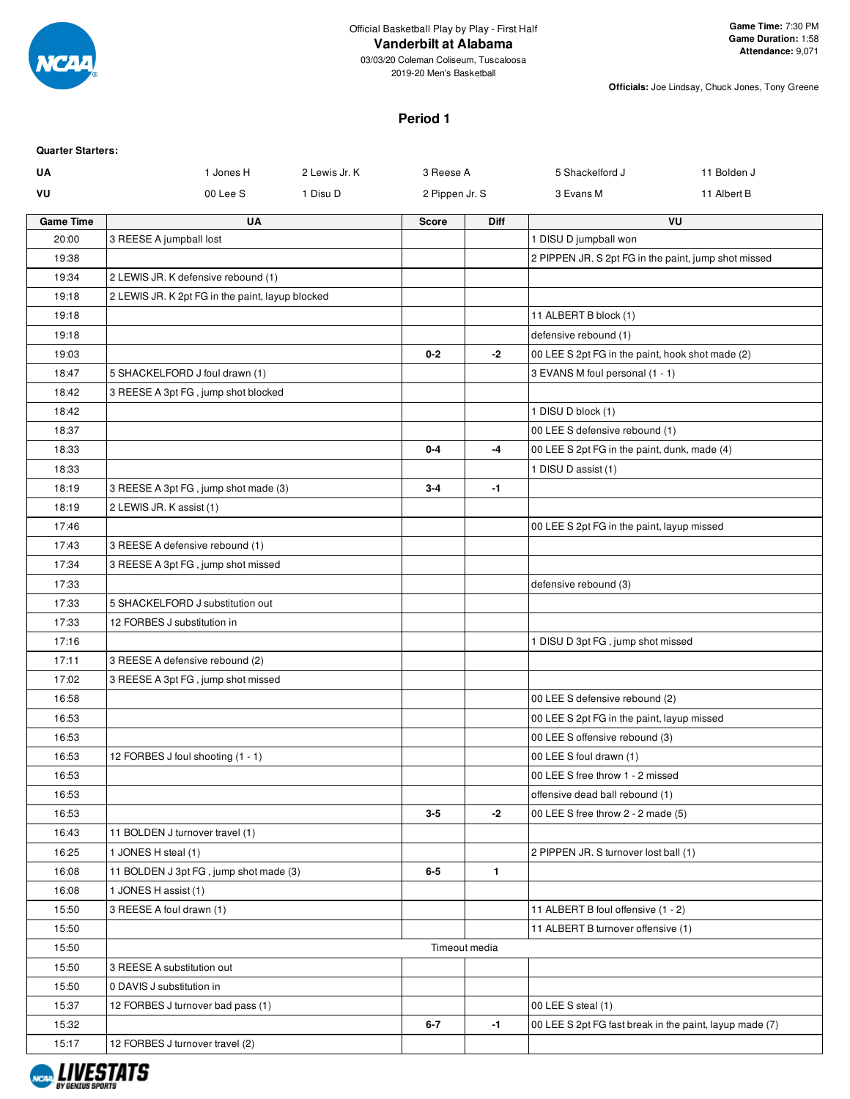

03/03/20 Coleman Coliseum, Tuscaloosa 2019-20 Men's Basketball

**Officials:** Joe Lindsay, Chuck Jones, Tony Greene

# **Period 1**

| <b>Quarter Starters:</b> |                                                  |               |                |               |                                                                       |             |
|--------------------------|--------------------------------------------------|---------------|----------------|---------------|-----------------------------------------------------------------------|-------------|
| UA                       | 1 Jones H                                        | 2 Lewis Jr. K | 3 Reese A      |               | 5 Shackelford J                                                       | 11 Bolden J |
| VU                       | 00 Lee S                                         | 1 Disu D      | 2 Pippen Jr. S |               | 3 Evans M                                                             | 11 Albert B |
| <b>Game Time</b>         | UA                                               |               | <b>Score</b>   | Diff          |                                                                       | VU          |
| 20:00                    | 3 REESE A jumpball lost                          |               |                |               | 1 DISU D jumpball won                                                 |             |
| 19:38                    |                                                  |               |                |               | 2 PIPPEN JR. S 2pt FG in the paint, jump shot missed                  |             |
| 19:34                    | 2 LEWIS JR. K defensive rebound (1)              |               |                |               |                                                                       |             |
| 19:18                    | 2 LEWIS JR. K 2pt FG in the paint, layup blocked |               |                |               |                                                                       |             |
| 19:18                    |                                                  |               |                |               | 11 ALBERT B block (1)                                                 |             |
| 19:18                    |                                                  |               |                |               | defensive rebound (1)                                                 |             |
| 19:03                    |                                                  |               | $0 - 2$        | $-2$          | 00 LEE S 2pt FG in the paint, hook shot made (2)                      |             |
| 18:47                    | 5 SHACKELFORD J foul drawn (1)                   |               |                |               | 3 EVANS M foul personal (1 - 1)                                       |             |
| 18:42                    | 3 REESE A 3pt FG, jump shot blocked              |               |                |               |                                                                       |             |
| 18:42                    |                                                  |               |                |               | 1 DISU D block (1)                                                    |             |
| 18:37                    |                                                  |               |                |               | 00 LEE S defensive rebound (1)                                        |             |
| 18:33                    |                                                  |               | $0 - 4$        | -4            | 00 LEE S 2pt FG in the paint, dunk, made (4)                          |             |
| 18:33                    |                                                  |               |                |               | 1 DISU D assist (1)                                                   |             |
| 18:19                    | 3 REESE A 3pt FG, jump shot made (3)             |               | $3-4$          | $-1$          |                                                                       |             |
| 18:19                    | 2 LEWIS JR. K assist (1)                         |               |                |               |                                                                       |             |
| 17:46                    |                                                  |               |                |               | 00 LEE S 2pt FG in the paint, layup missed                            |             |
| 17:43                    | 3 REESE A defensive rebound (1)                  |               |                |               |                                                                       |             |
| 17:34                    | 3 REESE A 3pt FG, jump shot missed               |               |                |               |                                                                       |             |
| 17:33                    |                                                  |               |                |               | defensive rebound (3)                                                 |             |
| 17:33                    | 5 SHACKELFORD J substitution out                 |               |                |               |                                                                       |             |
| 17:33                    | 12 FORBES J substitution in                      |               |                |               |                                                                       |             |
| 17:16                    |                                                  |               |                |               | 1 DISU D 3pt FG, jump shot missed                                     |             |
| 17:11                    | 3 REESE A defensive rebound (2)                  |               |                |               |                                                                       |             |
| 17:02                    | 3 REESE A 3pt FG, jump shot missed               |               |                |               |                                                                       |             |
| 16:58                    |                                                  |               |                |               | 00 LEE S defensive rebound (2)                                        |             |
| 16:53                    |                                                  |               |                |               | 00 LEE S 2pt FG in the paint, layup missed                            |             |
| 16:53                    |                                                  |               |                |               | 00 LEE S offensive rebound (3)                                        |             |
| 16:53                    | 12 FORBES J foul shooting (1 - 1)                |               |                |               | 00 LEE S foul drawn (1)<br>00 LEE S free throw 1 - 2 missed           |             |
| 16:53                    |                                                  |               |                |               |                                                                       |             |
| 16:53<br>16:53           |                                                  |               | $3-5$          | -2            | offensive dead ball rebound (1)<br>00 LEE S free throw 2 - 2 made (5) |             |
| 16:43                    | 11 BOLDEN J turnover travel (1)                  |               |                |               |                                                                       |             |
| 16:25                    | 1 JONES H steal (1)                              |               |                |               | 2 PIPPEN JR. S turnover lost ball (1)                                 |             |
| 16:08                    | 11 BOLDEN J 3pt FG, jump shot made (3)           |               | $6-5$          | 1             |                                                                       |             |
| 16:08                    | 1 JONES H assist (1)                             |               |                |               |                                                                       |             |
| 15:50                    | 3 REESE A foul drawn (1)                         |               |                |               | 11 ALBERT B foul offensive (1 - 2)                                    |             |
|                          |                                                  |               |                |               | 11 ALBERT B turnover offensive (1)                                    |             |
| 15:50<br>15:50           |                                                  |               |                | Timeout media |                                                                       |             |
|                          |                                                  |               |                |               |                                                                       |             |
| 15:50                    | 3 REESE A substitution out                       |               |                |               |                                                                       |             |
| 15:50                    | 0 DAVIS J substitution in                        |               |                |               |                                                                       |             |
| 15:37                    | 12 FORBES J turnover bad pass (1)                |               |                |               | 00 LEE S steal (1)                                                    |             |
| 15:32                    |                                                  |               | $6 - 7$        | $-1$          | 00 LEE S 2pt FG fast break in the paint, layup made (7)               |             |
| 15:17                    | 12 FORBES J turnover travel (2)                  |               |                |               |                                                                       |             |

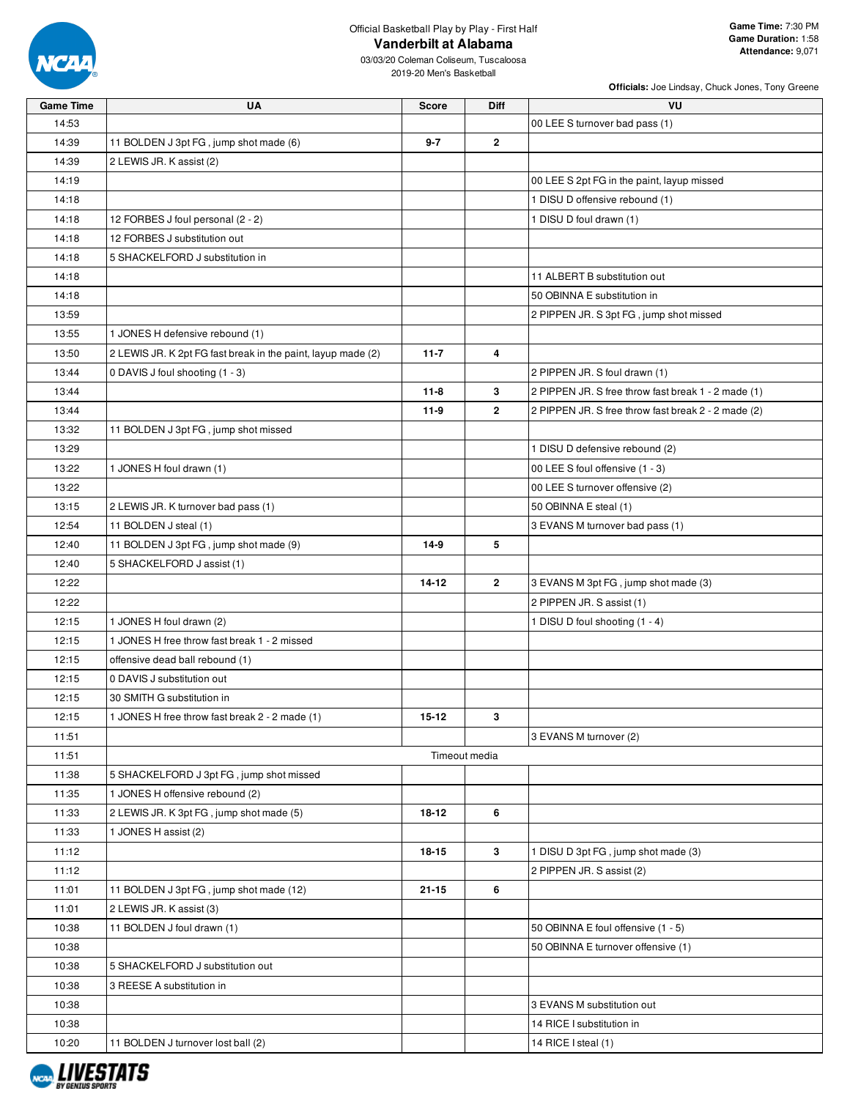

| <b>Game Time</b> | UA                                                           | <b>Score</b> | Diff           | VU                                                  |
|------------------|--------------------------------------------------------------|--------------|----------------|-----------------------------------------------------|
| 14:53            |                                                              |              |                | 00 LEE S turnover bad pass (1)                      |
| 14:39            | 11 BOLDEN J 3pt FG, jump shot made (6)                       | $9 - 7$      | $\mathbf{2}$   |                                                     |
| 14:39            | 2 LEWIS JR. K assist (2)                                     |              |                |                                                     |
| 14:19            |                                                              |              |                | 00 LEE S 2pt FG in the paint, layup missed          |
| 14:18            |                                                              |              |                | 1 DISU D offensive rebound (1)                      |
| 14:18            | 12 FORBES J foul personal (2 - 2)                            |              |                | 1 DISU D foul drawn (1)                             |
| 14:18            | 12 FORBES J substitution out                                 |              |                |                                                     |
| 14:18            | 5 SHACKELFORD J substitution in                              |              |                |                                                     |
| 14:18            |                                                              |              |                | 11 ALBERT B substitution out                        |
| 14:18            |                                                              |              |                | 50 OBINNA E substitution in                         |
| 13:59            |                                                              |              |                | 2 PIPPEN JR. S 3pt FG, jump shot missed             |
| 13:55            | 1 JONES H defensive rebound (1)                              |              |                |                                                     |
| 13:50            | 2 LEWIS JR. K 2pt FG fast break in the paint, layup made (2) | $11 - 7$     | 4              |                                                     |
| 13:44            | 0 DAVIS J foul shooting (1 - 3)                              |              |                | 2 PIPPEN JR. S foul drawn (1)                       |
| 13:44            |                                                              | $11 - 8$     | 3              | 2 PIPPEN JR. S free throw fast break 1 - 2 made (1) |
| 13:44            |                                                              | 11-9         | $\overline{2}$ | 2 PIPPEN JR. S free throw fast break 2 - 2 made (2) |
| 13:32            | 11 BOLDEN J 3pt FG, jump shot missed                         |              |                |                                                     |
| 13:29            |                                                              |              |                | 1 DISU D defensive rebound (2)                      |
| 13:22            | 1 JONES H foul drawn (1)                                     |              |                | 00 LEE S foul offensive (1 - 3)                     |
| 13:22            |                                                              |              |                | 00 LEE S turnover offensive (2)                     |
| 13:15            | 2 LEWIS JR. K turnover bad pass (1)                          |              |                | 50 OBINNA E steal (1)                               |
| 12:54            | 11 BOLDEN J steal (1)                                        |              |                | 3 EVANS M turnover bad pass (1)                     |
| 12:40            | 11 BOLDEN J 3pt FG, jump shot made (9)                       | $14-9$       | 5              |                                                     |
| 12:40            | 5 SHACKELFORD J assist (1)                                   |              |                |                                                     |
| 12:22            |                                                              | $14 - 12$    | $\overline{2}$ | 3 EVANS M 3pt FG, jump shot made (3)                |
| 12:22            |                                                              |              |                | 2 PIPPEN JR. S assist (1)                           |
| 12:15            | 1 JONES H foul drawn (2)                                     |              |                | 1 DISU D foul shooting (1 - 4)                      |
| 12:15            | 1 JONES H free throw fast break 1 - 2 missed                 |              |                |                                                     |
| 12:15            | offensive dead ball rebound (1)                              |              |                |                                                     |
| 12:15            | 0 DAVIS J substitution out                                   |              |                |                                                     |
| 12:15            | 30 SMITH G substitution in                                   |              |                |                                                     |
| 12:15            | 1 JONES H free throw fast break 2 - 2 made (1)               | $15 - 12$    | 3              |                                                     |
| 11:51            |                                                              |              |                | 3 EVANS M turnover (2)                              |
| 11:51            |                                                              |              | Timeout media  |                                                     |
| 11:38            | 5 SHACKELFORD J 3pt FG, jump shot missed                     |              |                |                                                     |
| 11:35            | 1 JONES H offensive rebound (2)                              |              |                |                                                     |
| 11:33            | 2 LEWIS JR. K 3pt FG, jump shot made (5)                     | 18-12        | 6              |                                                     |
| 11:33            | 1 JONES H assist (2)                                         |              |                |                                                     |
| 11:12            |                                                              | 18-15        | 3              | 1 DISU D 3pt FG, jump shot made (3)                 |
| 11:12            |                                                              |              |                | 2 PIPPEN JR. S assist (2)                           |
| 11:01            | 11 BOLDEN J 3pt FG, jump shot made (12)                      | $21 - 15$    | 6              |                                                     |
| 11:01            | 2 LEWIS JR. K assist (3)                                     |              |                |                                                     |
| 10:38            | 11 BOLDEN J foul drawn (1)                                   |              |                | 50 OBINNA E foul offensive (1 - 5)                  |
| 10:38            |                                                              |              |                | 50 OBINNA E turnover offensive (1)                  |
| 10:38            | 5 SHACKELFORD J substitution out                             |              |                |                                                     |
| 10:38            | 3 REESE A substitution in                                    |              |                |                                                     |
| 10:38            |                                                              |              |                | 3 EVANS M substitution out                          |
| 10:38            |                                                              |              |                | 14 RICE I substitution in                           |
| 10:20            | 11 BOLDEN J turnover lost ball (2)                           |              |                | 14 RICE I steal (1)                                 |

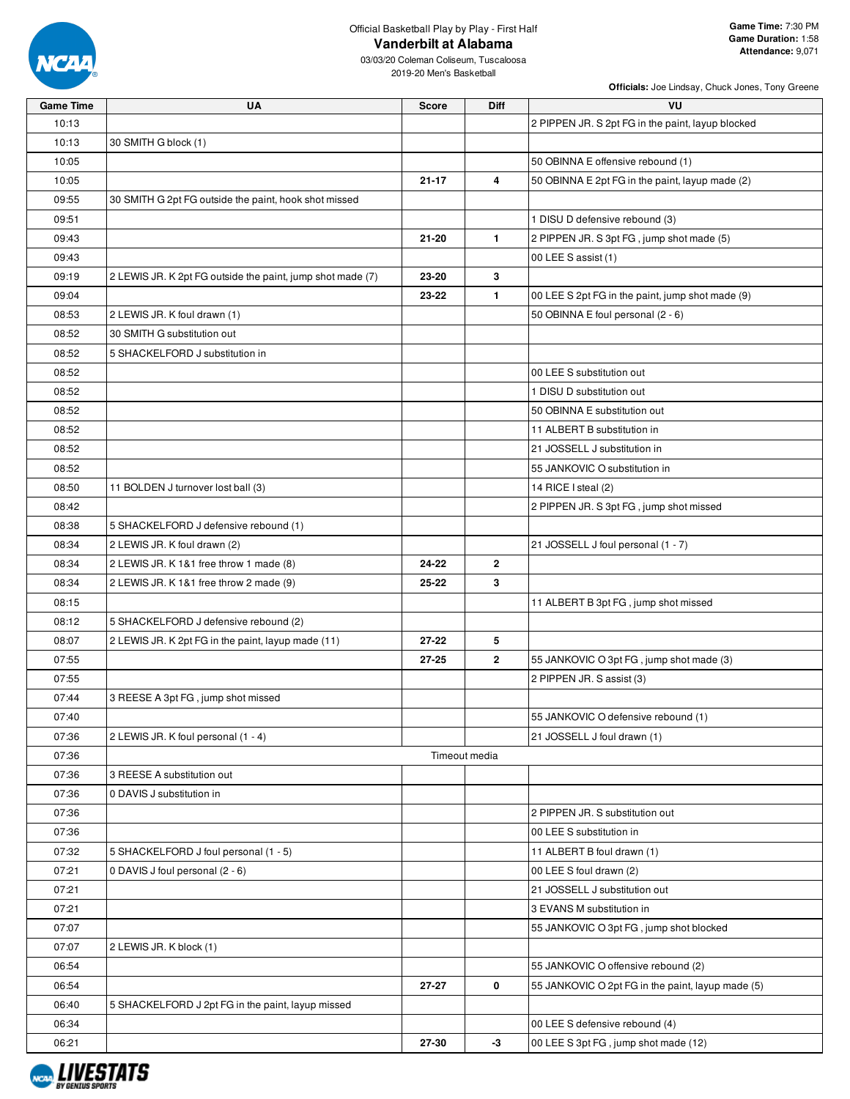

03/03/20 Coleman Coliseum, Tuscaloosa 2019-20 Men's Basketball

| <b>Game Time</b> | <b>UA</b>                                                  | <b>Score</b> | Diff          | VU                                                |
|------------------|------------------------------------------------------------|--------------|---------------|---------------------------------------------------|
| 10:13            |                                                            |              |               | 2 PIPPEN JR. S 2pt FG in the paint, layup blocked |
| 10:13            | 30 SMITH G block (1)                                       |              |               |                                                   |
| 10:05            |                                                            |              |               | 50 OBINNA E offensive rebound (1)                 |
| 10:05            |                                                            | $21 - 17$    | 4             | 50 OBINNA E 2pt FG in the paint, layup made (2)   |
| 09:55            | 30 SMITH G 2pt FG outside the paint, hook shot missed      |              |               |                                                   |
| 09:51            |                                                            |              |               | 1 DISU D defensive rebound (3)                    |
| 09:43            |                                                            | $21 - 20$    | $\mathbf{1}$  | 2 PIPPEN JR. S 3pt FG, jump shot made (5)         |
|                  |                                                            |              |               | 00 LEE S assist (1)                               |
| 09:43            |                                                            |              |               |                                                   |
| 09:19            | 2 LEWIS JR. K 2pt FG outside the paint, jump shot made (7) | 23-20        | 3             |                                                   |
| 09:04            |                                                            | 23-22        | 1.            | 00 LEE S 2pt FG in the paint, jump shot made (9)  |
| 08:53            | 2 LEWIS JR. K foul drawn (1)                               |              |               | 50 OBINNA E foul personal (2 - 6)                 |
| 08:52            | 30 SMITH G substitution out                                |              |               |                                                   |
| 08:52            | 5 SHACKELFORD J substitution in                            |              |               |                                                   |
| 08:52            |                                                            |              |               | 00 LEE S substitution out                         |
| 08:52            |                                                            |              |               | 1 DISU D substitution out                         |
| 08:52            |                                                            |              |               | 50 OBINNA E substitution out                      |
| 08:52            |                                                            |              |               | 11 ALBERT B substitution in                       |
| 08:52            |                                                            |              |               | 21 JOSSELL J substitution in                      |
| 08:52            |                                                            |              |               | 55 JANKOVIC O substitution in                     |
| 08:50            | 11 BOLDEN J turnover lost ball (3)                         |              |               | 14 RICE I steal (2)                               |
| 08:42            |                                                            |              |               | 2 PIPPEN JR. S 3pt FG, jump shot missed           |
| 08:38            | 5 SHACKELFORD J defensive rebound (1)                      |              |               |                                                   |
| 08:34            | 2 LEWIS JR. K foul drawn (2)                               |              |               | 21 JOSSELL J foul personal (1 - 7)                |
| 08:34            | 2 LEWIS JR. K 1&1 free throw 1 made (8)                    | 24-22        | $\mathbf{2}$  |                                                   |
| 08:34            | 2 LEWIS JR. K 1&1 free throw 2 made (9)                    | 25-22        | 3             |                                                   |
| 08:15            |                                                            |              |               | 11 ALBERT B 3pt FG, jump shot missed              |
| 08:12            | 5 SHACKELFORD J defensive rebound (2)                      |              |               |                                                   |
| 08:07            | 2 LEWIS JR. K 2pt FG in the paint, layup made (11)         | $27 - 22$    | 5             |                                                   |
|                  |                                                            |              |               |                                                   |
| 07:55            |                                                            | 27-25        | $\mathbf{2}$  | 55 JANKOVIC O 3pt FG, jump shot made (3)          |
| 07:55            |                                                            |              |               | 2 PIPPEN JR. S assist (3)                         |
| 07:44            | 3 REESE A 3pt FG, jump shot missed                         |              |               |                                                   |
| 07:40            |                                                            |              |               | 55 JANKOVIC O defensive rebound (1)               |
| 07:36            | 2 LEWIS JR. K foul personal (1 - 4)                        |              |               | 21 JOSSELL J foul drawn (1)                       |
| 07:36            |                                                            |              | Timeout media |                                                   |
| 07:36            | 3 REESE A substitution out                                 |              |               |                                                   |
| 07:36            | 0 DAVIS J substitution in                                  |              |               |                                                   |
| 07:36            |                                                            |              |               | 2 PIPPEN JR. S substitution out                   |
| 07:36            |                                                            |              |               | 00 LEE S substitution in                          |
| 07:32            | 5 SHACKELFORD J foul personal (1 - 5)                      |              |               | 11 ALBERT B foul drawn (1)                        |
| 07:21            | 0 DAVIS J foul personal (2 - 6)                            |              |               | 00 LEE S foul drawn (2)                           |
| 07:21            |                                                            |              |               | 21 JOSSELL J substitution out                     |
| 07:21            |                                                            |              |               | 3 EVANS M substitution in                         |
| 07:07            |                                                            |              |               | 55 JANKOVIC O 3pt FG, jump shot blocked           |
| 07:07            | 2 LEWIS JR. K block (1)                                    |              |               |                                                   |
| 06:54            |                                                            |              |               | 55 JANKOVIC O offensive rebound (2)               |
| 06:54            |                                                            | 27-27        | 0             | 55 JANKOVIC O 2pt FG in the paint, layup made (5) |
| 06:40            | 5 SHACKELFORD J 2pt FG in the paint, layup missed          |              |               |                                                   |
| 06:34            |                                                            |              |               | 00 LEE S defensive rebound (4)                    |
| 06:21            |                                                            | 27-30        | $-3$          | 00 LEE S 3pt FG, jump shot made (12)              |
|                  |                                                            |              |               |                                                   |

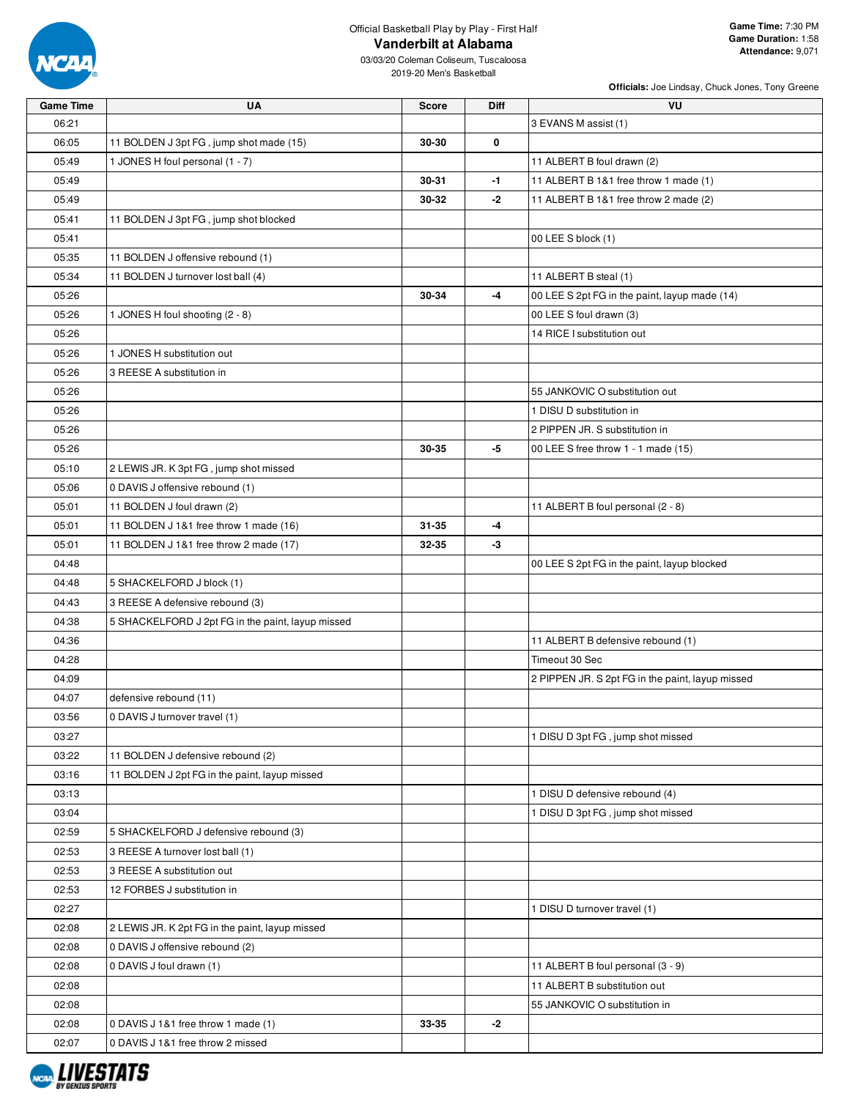

| <b>Game Time</b> | UA                                                | Score     | Diff | VU.                                              |
|------------------|---------------------------------------------------|-----------|------|--------------------------------------------------|
| 06:21            |                                                   |           |      | 3 EVANS M assist (1)                             |
| 06:05            | 11 BOLDEN J 3pt FG, jump shot made (15)           | 30-30     | 0    |                                                  |
| 05:49            | 1 JONES H foul personal (1 - 7)                   |           |      | 11 ALBERT B foul drawn (2)                       |
| 05:49            |                                                   | 30-31     | $-1$ | 11 ALBERT B 1&1 free throw 1 made (1)            |
| 05:49            |                                                   | 30-32     | $-2$ | 11 ALBERT B 1&1 free throw 2 made (2)            |
| 05:41            | 11 BOLDEN J 3pt FG, jump shot blocked             |           |      |                                                  |
| 05:41            |                                                   |           |      | 00 LEE S block (1)                               |
| 05:35            | 11 BOLDEN J offensive rebound (1)                 |           |      |                                                  |
| 05:34            | 11 BOLDEN J turnover lost ball (4)                |           |      | 11 ALBERT B steal (1)                            |
| 05:26            |                                                   | 30-34     | $-4$ | 00 LEE S 2pt FG in the paint, layup made (14)    |
| 05:26            | 1 JONES H foul shooting (2 - 8)                   |           |      | 00 LEE S foul drawn (3)                          |
| 05:26            |                                                   |           |      | 14 RICE I substitution out                       |
| 05:26            | 1 JONES H substitution out                        |           |      |                                                  |
| 05:26            | 3 REESE A substitution in                         |           |      |                                                  |
| 05:26            |                                                   |           |      | 55 JANKOVIC O substitution out                   |
| 05:26            |                                                   |           |      | 1 DISU D substitution in                         |
| 05:26            |                                                   |           |      | 2 PIPPEN JR. S substitution in                   |
| 05:26            |                                                   | 30-35     | -5   | 00 LEE S free throw 1 - 1 made (15)              |
| 05:10            | 2 LEWIS JR. K 3pt FG, jump shot missed            |           |      |                                                  |
| 05:06            | 0 DAVIS J offensive rebound (1)                   |           |      |                                                  |
| 05:01            | 11 BOLDEN J foul drawn (2)                        |           |      | 11 ALBERT B foul personal (2 - 8)                |
| 05:01            | 11 BOLDEN J 1&1 free throw 1 made (16)            | $31 - 35$ | -4   |                                                  |
| 05:01            | 11 BOLDEN J 1&1 free throw 2 made (17)            | 32-35     | -3   |                                                  |
| 04:48            |                                                   |           |      | 00 LEE S 2pt FG in the paint, layup blocked      |
| 04:48            | 5 SHACKELFORD J block (1)                         |           |      |                                                  |
| 04:43            | 3 REESE A defensive rebound (3)                   |           |      |                                                  |
| 04:38            | 5 SHACKELFORD J 2pt FG in the paint, layup missed |           |      |                                                  |
| 04:36            |                                                   |           |      | 11 ALBERT B defensive rebound (1)                |
| 04:28            |                                                   |           |      | Timeout 30 Sec                                   |
| 04:09            |                                                   |           |      | 2 PIPPEN JR. S 2pt FG in the paint, layup missed |
| 04:07            | defensive rebound (11)                            |           |      |                                                  |
| 03:56            | 0 DAVIS J turnover travel (1)                     |           |      |                                                  |
| 03:27            |                                                   |           |      | 1 DISU D 3pt FG, jump shot missed                |
| 03:22            | 11 BOLDEN J defensive rebound (2)                 |           |      |                                                  |
| 03:16            | 11 BOLDEN J 2pt FG in the paint, layup missed     |           |      |                                                  |
| 03:13            |                                                   |           |      | 1 DISU D defensive rebound (4)                   |
| 03:04            |                                                   |           |      | 1 DISU D 3pt FG, jump shot missed                |
| 02:59            | 5 SHACKELFORD J defensive rebound (3)             |           |      |                                                  |
| 02:53            | 3 REESE A turnover lost ball (1)                  |           |      |                                                  |
| 02:53            | 3 REESE A substitution out                        |           |      |                                                  |
| 02:53            | 12 FORBES J substitution in                       |           |      |                                                  |
| 02:27            |                                                   |           |      | 1 DISU D turnover travel (1)                     |
| 02:08            | 2 LEWIS JR. K 2pt FG in the paint, layup missed   |           |      |                                                  |
| 02:08            | 0 DAVIS J offensive rebound (2)                   |           |      |                                                  |
| 02:08            | 0 DAVIS J foul drawn (1)                          |           |      | 11 ALBERT B foul personal (3 - 9)                |
|                  |                                                   |           |      |                                                  |
| 02:08            |                                                   |           |      | 11 ALBERT B substitution out                     |
| 02:08            |                                                   |           |      | 55 JANKOVIC O substitution in                    |
| 02:08            | 0 DAVIS J 1&1 free throw 1 made (1)               | 33-35     | $-2$ |                                                  |
| 02:07            | 0 DAVIS J 1&1 free throw 2 missed                 |           |      |                                                  |

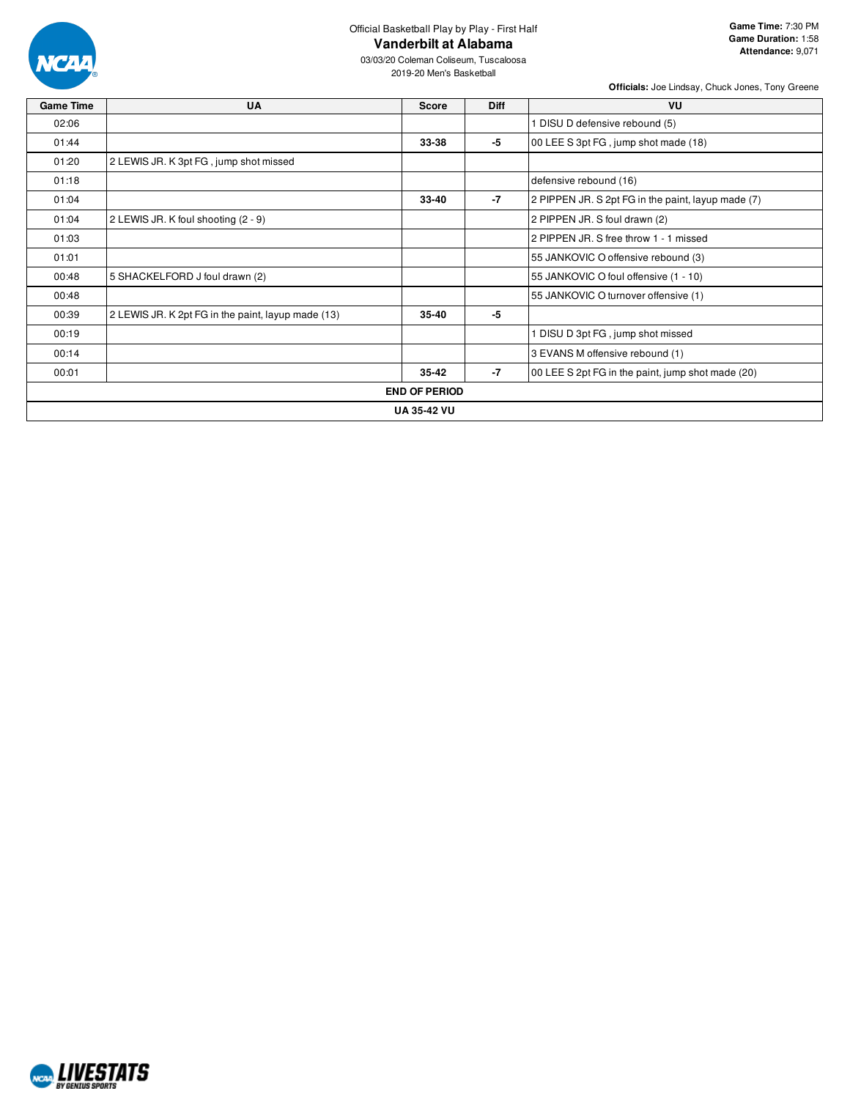

03/03/20 Coleman Coliseum, Tuscaloosa 2019-20 Men's Basketball

| <b>Game Time</b> | UA                                                 | Score                | <b>Diff</b> | VU                                                 |
|------------------|----------------------------------------------------|----------------------|-------------|----------------------------------------------------|
| 02:06            |                                                    |                      |             | DISU D defensive rebound (5)                       |
| 01:44            |                                                    | 33-38                | $-5$        | 00 LEE S 3pt FG, jump shot made (18)               |
| 01:20            | 2 LEWIS JR. K 3pt FG, jump shot missed             |                      |             |                                                    |
| 01:18            |                                                    |                      |             | defensive rebound (16)                             |
| 01:04            |                                                    | 33-40                | $-7$        | 2 PIPPEN JR. S 2pt FG in the paint, layup made (7) |
| 01:04            | 2 LEWIS JR. K foul shooting (2 - 9)                |                      |             | 2 PIPPEN JR. S foul drawn (2)                      |
| 01:03            |                                                    |                      |             | 2 PIPPEN JR. S free throw 1 - 1 missed             |
| 01:01            |                                                    |                      |             | 55 JANKOVIC O offensive rebound (3)                |
| 00:48            | 5 SHACKELFORD J foul drawn (2)                     |                      |             | 55 JANKOVIC O foul offensive (1 - 10)              |
| 00:48            |                                                    |                      |             | 55 JANKOVIC O turnover offensive (1)               |
| 00:39            | 2 LEWIS JR. K 2pt FG in the paint, layup made (13) | 35-40                | $-5$        |                                                    |
| 00:19            |                                                    |                      |             | 1 DISU D 3pt FG, jump shot missed                  |
| 00:14            |                                                    |                      |             | 3 EVANS M offensive rebound (1)                    |
| 00:01            |                                                    | $35 - 42$            | -7          | 00 LEE S 2pt FG in the paint, jump shot made (20)  |
|                  |                                                    | <b>END OF PERIOD</b> |             |                                                    |
|                  |                                                    | <b>UA 35-42 VU</b>   |             |                                                    |

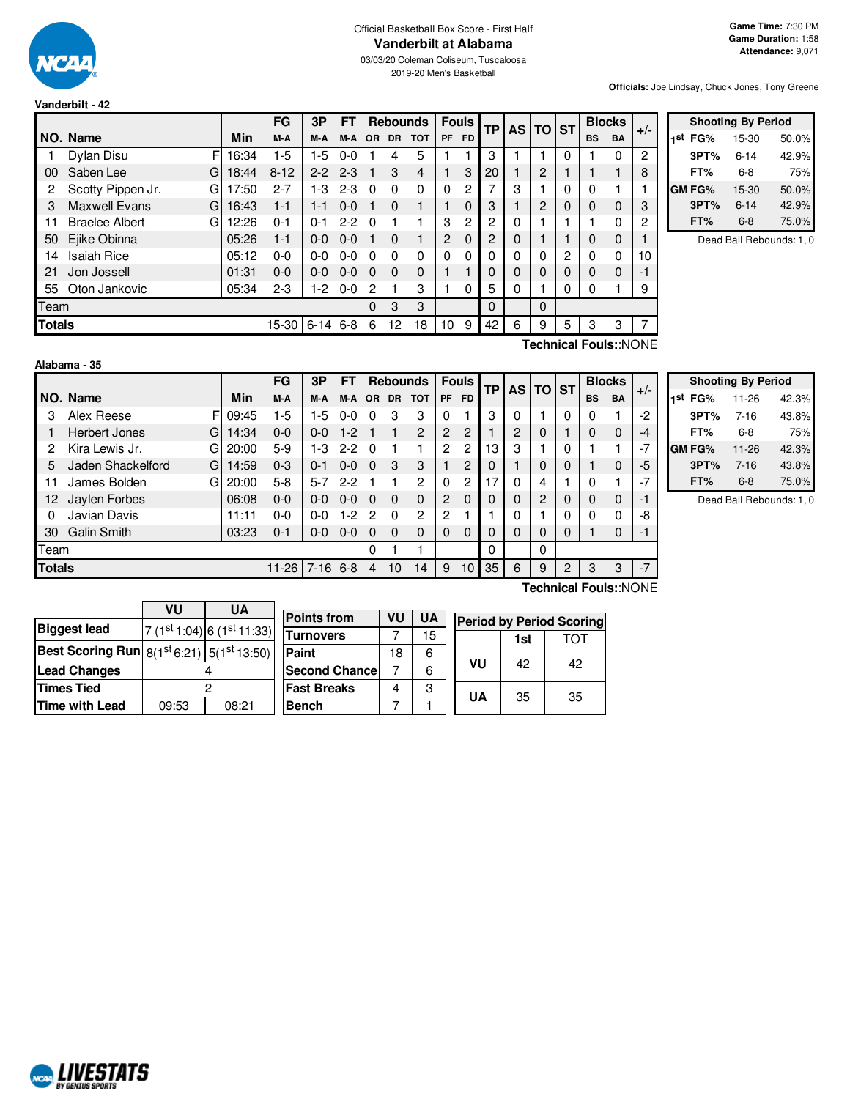

**Vanderbilt - 42**

03/03/20 Coleman Coliseum, Tuscaloosa 2019-20 Men's Basketball

**Officials:** Joe Lindsay, Chuck Jones, Tony Greene

|               |                            |       | FG        | 3P       | <b>FT</b> |          | <b>Rebounds</b> |            | <b>Fouls</b>   |           |          |   | TP       | AS TO ST       |           |             | <b>Blocks</b> |  | $+/-$ |
|---------------|----------------------------|-------|-----------|----------|-----------|----------|-----------------|------------|----------------|-----------|----------|---|----------|----------------|-----------|-------------|---------------|--|-------|
|               | NO. Name                   | Min   | M-A       | M-A      | M-A       | OR.      | <b>DR</b>       | <b>TOT</b> | PF             | <b>FD</b> |          |   |          |                | <b>BS</b> | <b>BA</b>   |               |  |       |
|               | Dylan Disu<br>FI           | 16:34 | $1-5$     | $1-5$    | $0-0$     |          | 4               | 5          |                |           | 3        |   |          | 0              |           | 0           | 2             |  |       |
| 00            | Saben Lee<br>G             | 18:44 | $8 - 12$  | $2 - 2$  | $2 - 3$   |          | 3               | 4          |                | 3         | 20       |   | 2        |                |           |             | 8             |  |       |
| 2             | Scotty Pippen Jr.<br>G     | 17:50 | $2 - 7$   | $1 - 3$  | $2 - 3$   | 0        | $\Omega$        | 0          | $\Omega$       | 2         |          | 3 |          | 0              | 0         |             |               |  |       |
| 3             | <b>Maxwell Evans</b><br>GI | 16:43 | $1 - 1$   | $1 - 1$  | $0-0$     |          | $\Omega$        | 1          |                | 0         | 3        |   | 2        | 0              | $\Omega$  | $\mathbf 0$ | 3             |  |       |
| 11            | <b>Braelee Albert</b><br>G | 12:26 | $0 - 1$   | $0 - 1$  | $2 - 2$   | $\Omega$ |                 | 1          | 3              | 2         | 2        | 0 |          |                |           | 0           | 2             |  |       |
| 50            | Ejike Obinna               | 05:26 | 1-1       | $0 - 0$  | $0 - 0$   |          | $\Omega$        | 1          | $\overline{2}$ | $\Omega$  | 2        | 0 |          |                | 0         | $\mathbf 0$ |               |  |       |
| 14            | <b>Isaiah Rice</b>         | 05:12 | $0 - 0$   | $0-0$    | $0 - 0$   | n        | $\Omega$        | 0          | $\Omega$       | $\Omega$  | 0        | 0 | O        | $\overline{c}$ | $\Omega$  | 0           | 10            |  |       |
| 21            | Jon Jossell                | 01:31 | $0 - 0$   | $0 - 0$  | $0 - 0$   | $\Omega$ | $\Omega$        | 0          |                |           | 0        | 0 | 0        | $\Omega$       | $\Omega$  | $\Omega$    | -1            |  |       |
| 55            | Oton Jankovic              | 05:34 | $2 - 3$   | $1-2$    | $0-0$     | 2        |                 | 3          |                | $\Omega$  | 5        | 0 |          | 0              | 0         |             | 9             |  |       |
| Team          |                            |       |           |          |           | 0        | 3               | 3          |                |           | $\Omega$ |   | $\Omega$ |                |           |             |               |  |       |
| <b>Totals</b> |                            |       | $15 - 30$ | $6 - 14$ | $6 - 8$   | 6        | 12              | 18         | 10             | 9         | 42       | 6 | 9        | 5              | 3         | 3           | 7             |  |       |
|               |                            |       |           |          |           |          |                 |            |                |           |          |   |          |                |           |             |               |  |       |

|     | <b>Shooting By Period</b> |          |       |  |  |  |  |  |  |  |  |  |
|-----|---------------------------|----------|-------|--|--|--|--|--|--|--|--|--|
| 1st | FG%                       | 15-30    | 50.0% |  |  |  |  |  |  |  |  |  |
|     | 3PT%                      | $6 - 14$ | 42.9% |  |  |  |  |  |  |  |  |  |
|     | FT%                       | 6-8      | 75%   |  |  |  |  |  |  |  |  |  |
|     | GM FG%                    | 15-30    | 50.0% |  |  |  |  |  |  |  |  |  |
|     | 3PT%                      | $6 - 14$ | 42.9% |  |  |  |  |  |  |  |  |  |
|     | FT%                       | $6 - 8$  | 75.0% |  |  |  |  |  |  |  |  |  |

Dead Ball Rebounds: 1, 0

| Alabama - 35 |  |
|--------------|--|

**Technical Fouls:**:NONE

|                      |       | FG                        | 3P      | FT        |            |                                    |                |                 | <b>Fouls</b>   |    |             |                |             |           |             |               | $+/-$ |
|----------------------|-------|---------------------------|---------|-----------|------------|------------------------------------|----------------|-----------------|----------------|----|-------------|----------------|-------------|-----------|-------------|---------------|-------|
| NO. Name             | Min   | M-A                       | M-A     | M-A       | <b>OR</b>  | <b>DR</b>                          | <b>TOT</b>     | <b>PF</b>       | <b>FD</b>      |    |             |                |             | <b>BS</b> | <b>BA</b>   |               |       |
| Alex Reese           | 09:45 | 1-5                       | 1-5     |           |            | 3                                  | 3              | $\Omega$        |                | 3  | 0           |                | 0           | 0         |             | $-2$          |       |
| <b>Herbert Jones</b> | 14:34 | $0 - 0$                   | $0 - 0$ | $1-2$     |            |                                    | $\overline{2}$ | $\overline{2}$  | 2              |    | 2           | $\Omega$       |             | 0         | 0           | $-4$          |       |
| Kira Lewis Jr.       | 20:00 | $5-9$                     | 1-3     | $2 - 2$   |            |                                    |                | $\mathcal{P}$   | $\overline{c}$ | 13 | 3           |                | 0           |           |             | $-7$          |       |
| Jaden Shackelford    | 14:59 | $0 - 3$                   | $0 - 1$ |           | $\Omega$   | 3                                  | 3              |                 | 2              | 0  |             | $\Omega$       | $\Omega$    |           | 0           | -5            |       |
| James Bolden         | 20:00 | $5 - 8$                   | $5 - 7$ | $2 - 2$   |            |                                    | 2              | $\Omega$        | $\overline{c}$ | 17 | 0           | 4              | 1           | 0         |             | $-7$          |       |
| Jaylen Forbes        | 06:08 | $0 - 0$                   | $0 - 0$ |           | $\Omega$   | $\Omega$                           | $\Omega$       | 2               | $\Omega$       | 0  | $\Omega$    | $\overline{2}$ | $\Omega$    | 0         | $\mathbf 0$ | -1            |       |
| Javian Davis         | 11:11 | $0 - 0$                   | $0 - 0$ | $1-2$     | 2          | 0                                  | 2              | $\mathcal{P}$   |                |    | 0           |                | 0           | 0         | $\Omega$    | -8            |       |
| <b>Galin Smith</b>   | 03:23 | $0 - 1$                   | $0 - 0$ |           | $\Omega$   | $\Omega$                           | $\Omega$       | $\Omega$        | $\mathbf 0$    | 0  | $\mathbf 0$ | $\Omega$       | $\mathbf 0$ |           | 0           | $-1$          |       |
| Team                 |       |                           |         |           | $\Omega$   |                                    | 1              |                 |                | 0  |             | $\Omega$       |             |           |             |               |       |
| <b>Totals</b>        |       |                           |         |           | 4          | 10                                 | 14             | 9               | 10             | 35 | 6           | 9              | 2           | 3         | 3           | $-7$          |       |
|                      |       | F<br>G.<br>GI<br>G.<br>GI |         | $11 - 26$ | $7-16$ 6-8 | $0 - 0$<br>$0-0$<br>$0-0$<br>$0-0$ |                | <b>Rebounds</b> |                |    | TP          |                |             | AS TO ST  |             | <b>Blocks</b> |       |

| <b>Shooting By Period</b> |           |       |  |  |  |  |  |  |  |  |  |
|---------------------------|-----------|-------|--|--|--|--|--|--|--|--|--|
| 1st<br>FG%                | 11-26     | 42.3% |  |  |  |  |  |  |  |  |  |
| 3PT%                      | $7 - 16$  | 43.8% |  |  |  |  |  |  |  |  |  |
| FT%                       | 6-8       | 75%   |  |  |  |  |  |  |  |  |  |
| <b>GM FG%</b>             | $11 - 26$ | 42.3% |  |  |  |  |  |  |  |  |  |
| 3PT%                      | $7 - 16$  | 43.8% |  |  |  |  |  |  |  |  |  |
| FT%                       | $6-8$     | 75.0% |  |  |  |  |  |  |  |  |  |

Dead Ball Rebounds: 1, 0

|                                                          | VU    | UA                      | Po  |
|----------------------------------------------------------|-------|-------------------------|-----|
| <b>Biggest lead</b>                                      |       | $7(1st1:04)6(1st11:33)$ | Tui |
| <b>Best Scoring Run</b> $8(1^{st}6:21)$ $5(1^{st}13:50)$ |       |                         | Pai |
| <b>Lead Changes</b>                                      |       | <b>Se</b>               |     |
| <b>Times Tied</b>                                        |       | Fa:                     |     |
| <b>Time with Lead</b>                                    | 09:53 | 08:21                   | Be  |

NCAL LIVESTATS

| <b>Points from</b>   | VU | <b>UA</b> | <b>Period by Period Scoring</b> |     |    |  |  |  |  |
|----------------------|----|-----------|---------------------------------|-----|----|--|--|--|--|
| <b>Turnovers</b>     |    | 15        |                                 | 1st |    |  |  |  |  |
| Paint                | 18 | 6         |                                 |     |    |  |  |  |  |
| <b>Second Chance</b> |    | 6         | VU                              | 42  | 42 |  |  |  |  |
| <b>Fast Breaks</b>   |    | 3         | UA                              |     |    |  |  |  |  |
| <b>Bench</b>         |    |           |                                 | 35  | 35 |  |  |  |  |

**Technical Fouls:**:NONE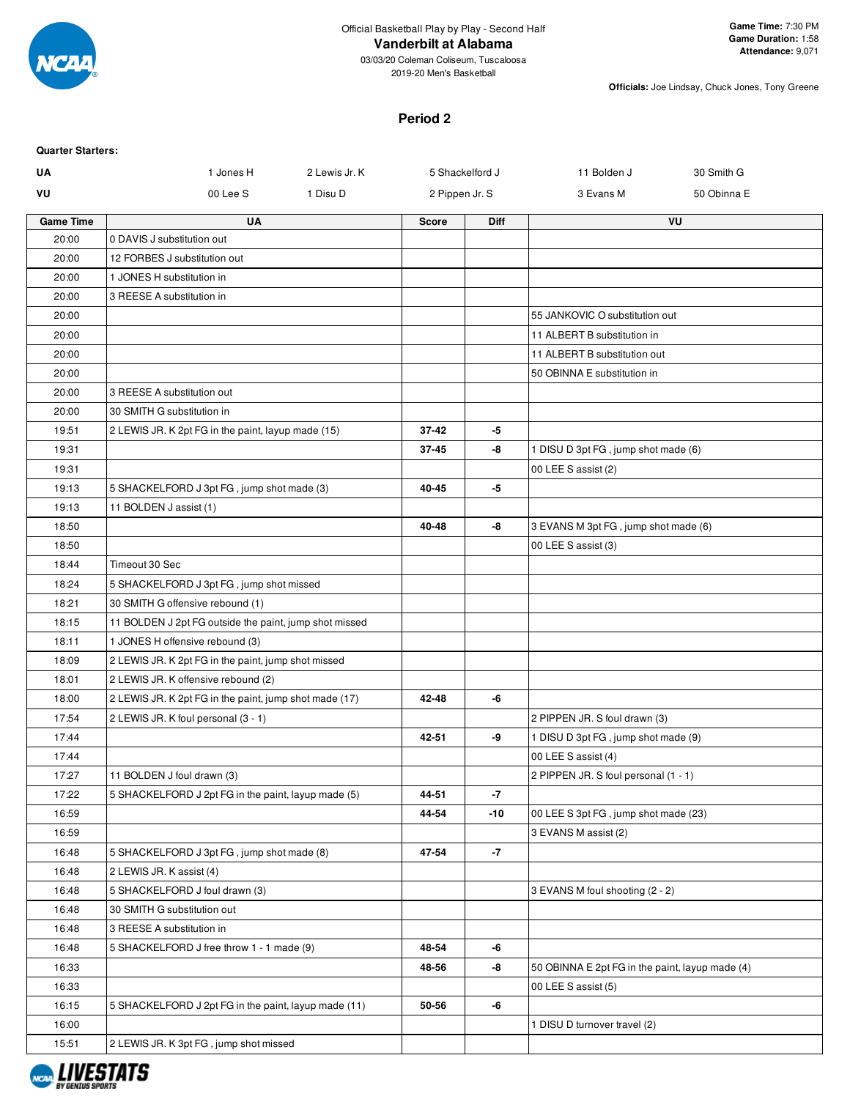

2019-20 Men's Basketball

**Officials:** Joe Lindsay, Chuck Jones, Tony Greene

## **Period 2**

| <b>Quarter Starters:</b> |                                                        |                 |             |                                                 |             |
|--------------------------|--------------------------------------------------------|-----------------|-------------|-------------------------------------------------|-------------|
| UA                       | 1 Jones H<br>2 Lewis Jr. K                             | 5 Shackelford J |             | 11 Bolden J                                     | 30 Smith G  |
| VU                       | 00 Lee S<br>1 Disu D                                   | 2 Pippen Jr. S  |             | 3 Evans M                                       | 50 Obinna E |
| <b>Game Time</b>         | <b>UA</b>                                              | <b>Score</b>    | <b>Diff</b> |                                                 | VU          |
| 20:00                    | 0 DAVIS J substitution out                             |                 |             |                                                 |             |
| 20:00                    | 12 FORBES J substitution out                           |                 |             |                                                 |             |
| 20:00                    | 1 JONES H substitution in                              |                 |             |                                                 |             |
| 20:00                    | 3 REESE A substitution in                              |                 |             |                                                 |             |
| 20:00                    |                                                        |                 |             | 55 JANKOVIC O substitution out                  |             |
| 20:00                    |                                                        |                 |             | 11 ALBERT B substitution in                     |             |
| 20:00                    |                                                        |                 |             | 11 ALBERT B substitution out                    |             |
| 20:00                    |                                                        |                 |             | 50 OBINNA E substitution in                     |             |
| 20:00                    | 3 REESE A substitution out                             |                 |             |                                                 |             |
| 20:00                    | 30 SMITH G substitution in                             |                 |             |                                                 |             |
| 19:51                    | 2 LEWIS JR. K 2pt FG in the paint, layup made (15)     | 37-42           | -5          |                                                 |             |
| 19:31                    |                                                        | $37 - 45$       | -8          | 1 DISU D 3pt FG, jump shot made (6)             |             |
| 19:31                    |                                                        |                 |             | 00 LEE S assist (2)                             |             |
| 19:13                    | 5 SHACKELFORD J 3pt FG, jump shot made (3)             | 40-45           | -5          |                                                 |             |
| 19:13                    | 11 BOLDEN J assist (1)                                 |                 |             |                                                 |             |
| 18:50                    |                                                        | 40-48           | -8          | 3 EVANS M 3pt FG, jump shot made (6)            |             |
| 18:50                    |                                                        |                 |             | 00 LEE S assist (3)                             |             |
| 18:44                    | Timeout 30 Sec                                         |                 |             |                                                 |             |
| 18:24                    | 5 SHACKELFORD J 3pt FG, jump shot missed               |                 |             |                                                 |             |
| 18:21                    | 30 SMITH G offensive rebound (1)                       |                 |             |                                                 |             |
| 18:15                    | 11 BOLDEN J 2pt FG outside the paint, jump shot missed |                 |             |                                                 |             |
| 18:11                    | 1 JONES H offensive rebound (3)                        |                 |             |                                                 |             |
| 18:09                    | 2 LEWIS JR. K 2pt FG in the paint, jump shot missed    |                 |             |                                                 |             |
| 18:01                    | 2 LEWIS JR. K offensive rebound (2)                    |                 |             |                                                 |             |
| 18:00                    | 2 LEWIS JR. K 2pt FG in the paint, jump shot made (17) | 42-48           | -6          |                                                 |             |
| 17:54                    | 2 LEWIS JR. K foul personal (3 - 1)                    |                 |             | 2 PIPPEN JR. S foul drawn (3)                   |             |
| 17:44                    |                                                        | 42-51           | -9          | 1 DISU D 3pt FG, jump shot made (9)             |             |
| 17:44                    |                                                        |                 |             | 00 LEE S assist (4)                             |             |
| 17:27                    | 11 BOLDEN J foul drawn (3)                             |                 |             | 2 PIPPEN JR. S foul personal (1 - 1)            |             |
| 17:22                    | 5 SHACKELFORD J 2pt FG in the paint, layup made (5)    | 44-51           | $-7$        |                                                 |             |
| 16:59                    |                                                        | 44-54           | $-10$       | 00 LEE S 3pt FG, jump shot made (23)            |             |
| 16:59                    |                                                        |                 |             | 3 EVANS M assist (2)                            |             |
| 16:48                    | 5 SHACKELFORD J 3pt FG, jump shot made (8)             | 47-54           | -7          |                                                 |             |
| 16:48                    | 2 LEWIS JR. K assist (4)                               |                 |             |                                                 |             |
| 16:48                    | 5 SHACKELFORD J foul drawn (3)                         |                 |             | 3 EVANS M foul shooting (2 - 2)                 |             |
| 16:48                    | 30 SMITH G substitution out                            |                 |             |                                                 |             |
| 16:48                    | 3 REESE A substitution in                              |                 |             |                                                 |             |
| 16:48                    | 5 SHACKELFORD J free throw 1 - 1 made (9)              | 48-54           | -6          |                                                 |             |
| 16:33                    |                                                        | 48-56           | -8          | 50 OBINNA E 2pt FG in the paint, layup made (4) |             |
| 16:33<br>16:15           | 5 SHACKELFORD J 2pt FG in the paint, layup made (11)   | 50-56           | -6          | 00 LEE S assist (5)                             |             |
| 16:00                    |                                                        |                 |             |                                                 |             |
|                          |                                                        |                 |             | 1 DISU D turnover travel (2)                    |             |
| 15:51                    | 2 LEWIS JR. K 3pt FG, jump shot missed                 |                 |             |                                                 |             |

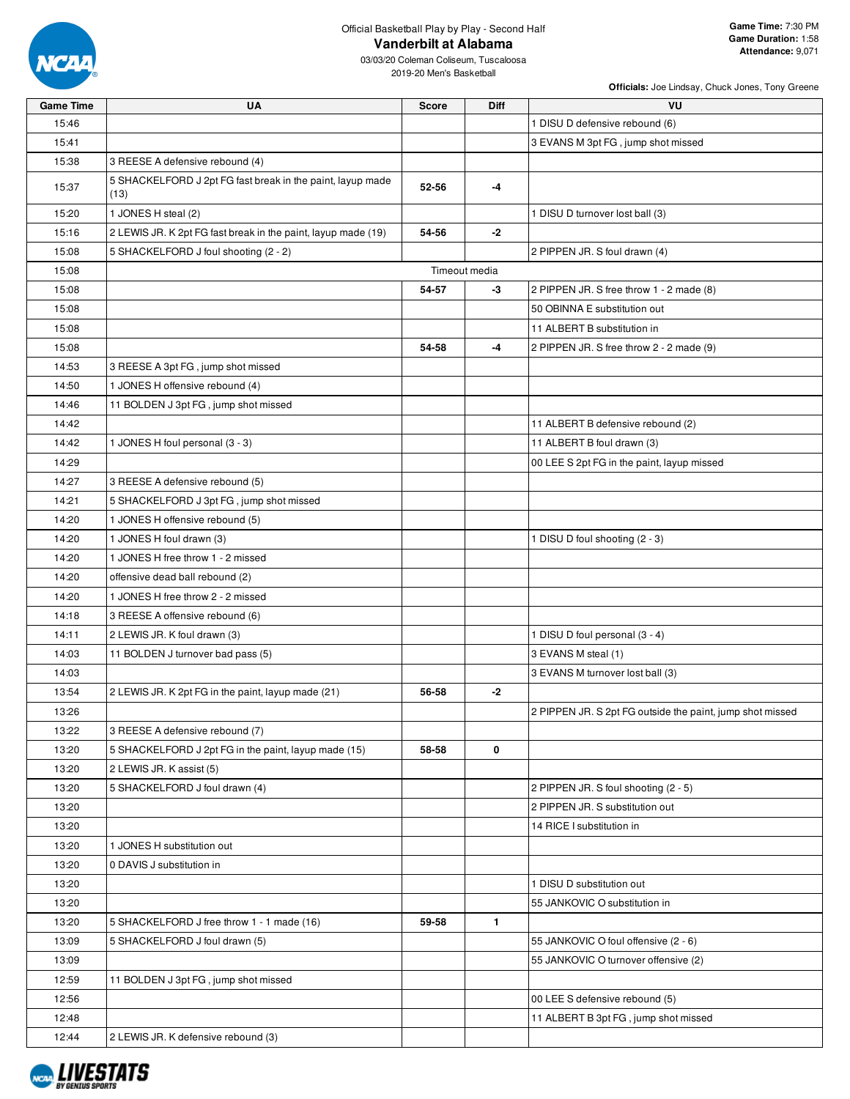

03/03/20 Coleman Coliseum, Tuscaloosa 2019-20 Men's Basketball

| <b>Game Time</b> | <b>UA</b>                                                          | <b>Score</b> | Diff          | VU                                                        |
|------------------|--------------------------------------------------------------------|--------------|---------------|-----------------------------------------------------------|
| 15:46            |                                                                    |              |               | 1 DISU D defensive rebound (6)                            |
| 15:41            |                                                                    |              |               | 3 EVANS M 3pt FG, jump shot missed                        |
| 15:38            | 3 REESE A defensive rebound (4)                                    |              |               |                                                           |
| 15:37            | 5 SHACKELFORD J 2pt FG fast break in the paint, layup made<br>(13) | 52-56        | -4            |                                                           |
| 15:20            | 1 JONES H steal (2)                                                |              |               | 1 DISU D turnover lost ball (3)                           |
| 15:16            | 2 LEWIS JR. K 2pt FG fast break in the paint, layup made (19)      | 54-56        | $-2$          |                                                           |
| 15:08            | 5 SHACKELFORD J foul shooting (2 - 2)                              |              |               | 2 PIPPEN JR. S foul drawn (4)                             |
| 15:08            |                                                                    |              | Timeout media |                                                           |
| 15:08            |                                                                    | 54-57        | -3            | 2 PIPPEN JR. S free throw 1 - 2 made (8)                  |
| 15:08            |                                                                    |              |               | 50 OBINNA E substitution out                              |
| 15:08            |                                                                    |              |               | 11 ALBERT B substitution in                               |
| 15:08            |                                                                    | 54-58        | $-4$          | 2 PIPPEN JR. S free throw 2 - 2 made (9)                  |
| 14:53            | 3 REESE A 3pt FG, jump shot missed                                 |              |               |                                                           |
| 14:50            | 1 JONES H offensive rebound (4)                                    |              |               |                                                           |
| 14:46            | 11 BOLDEN J 3pt FG, jump shot missed                               |              |               |                                                           |
| 14:42            |                                                                    |              |               | 11 ALBERT B defensive rebound (2)                         |
| 14:42            | 1 JONES H foul personal (3 - 3)                                    |              |               | 11 ALBERT B foul drawn (3)                                |
| 14:29            |                                                                    |              |               | 00 LEE S 2pt FG in the paint, layup missed                |
| 14:27            | 3 REESE A defensive rebound (5)                                    |              |               |                                                           |
| 14:21            | 5 SHACKELFORD J 3pt FG, jump shot missed                           |              |               |                                                           |
| 14:20            | 1 JONES H offensive rebound (5)                                    |              |               |                                                           |
| 14:20            | 1 JONES H foul drawn (3)                                           |              |               | 1 DISU D foul shooting (2 - 3)                            |
| 14:20            | 1 JONES H free throw 1 - 2 missed                                  |              |               |                                                           |
| 14:20            | offensive dead ball rebound (2)                                    |              |               |                                                           |
| 14:20            | 1 JONES H free throw 2 - 2 missed                                  |              |               |                                                           |
| 14:18            | 3 REESE A offensive rebound (6)                                    |              |               |                                                           |
| 14:11            | 2 LEWIS JR. K foul drawn (3)                                       |              |               | 1 DISU D foul personal (3 - 4)                            |
| 14:03            | 11 BOLDEN J turnover bad pass (5)                                  |              |               | 3 EVANS M steal (1)                                       |
| 14:03            |                                                                    |              |               | 3 EVANS M turnover lost ball (3)                          |
| 13:54            | 2 LEWIS JR. K 2pt FG in the paint, layup made (21)                 | 56-58        | -2            |                                                           |
| 13:26            |                                                                    |              |               | 2 PIPPEN JR. S 2pt FG outside the paint, jump shot missed |
| 13:22            | 3 REESE A defensive rebound (7)                                    |              |               |                                                           |
| 13:20            | 5 SHACKELFORD J 2pt FG in the paint, layup made (15)               | 58-58        | 0             |                                                           |
| 13:20            | 2 LEWIS JR. K assist (5)                                           |              |               |                                                           |
| 13:20            | 5 SHACKELFORD J foul drawn (4)                                     |              |               | 2 PIPPEN JR. S foul shooting (2 - 5)                      |
| 13:20            |                                                                    |              |               | 2 PIPPEN JR. S substitution out                           |
| 13:20            |                                                                    |              |               | 14 RICE I substitution in                                 |
| 13:20            | 1 JONES H substitution out                                         |              |               |                                                           |
| 13:20            | 0 DAVIS J substitution in                                          |              |               |                                                           |
| 13:20            |                                                                    |              |               | 1 DISU D substitution out                                 |
| 13:20            |                                                                    |              |               | 55 JANKOVIC O substitution in                             |
| 13:20            | 5 SHACKELFORD J free throw 1 - 1 made (16)                         | 59-58        | 1             |                                                           |
| 13:09            | 5 SHACKELFORD J foul drawn (5)                                     |              |               | 55 JANKOVIC O foul offensive (2 - 6)                      |
| 13:09            |                                                                    |              |               | 55 JANKOVIC O turnover offensive (2)                      |
| 12:59            | 11 BOLDEN J 3pt FG, jump shot missed                               |              |               |                                                           |
| 12:56            |                                                                    |              |               | 00 LEE S defensive rebound (5)                            |
| 12:48            |                                                                    |              |               | 11 ALBERT B 3pt FG, jump shot missed                      |
| 12:44            | 2 LEWIS JR. K defensive rebound (3)                                |              |               |                                                           |

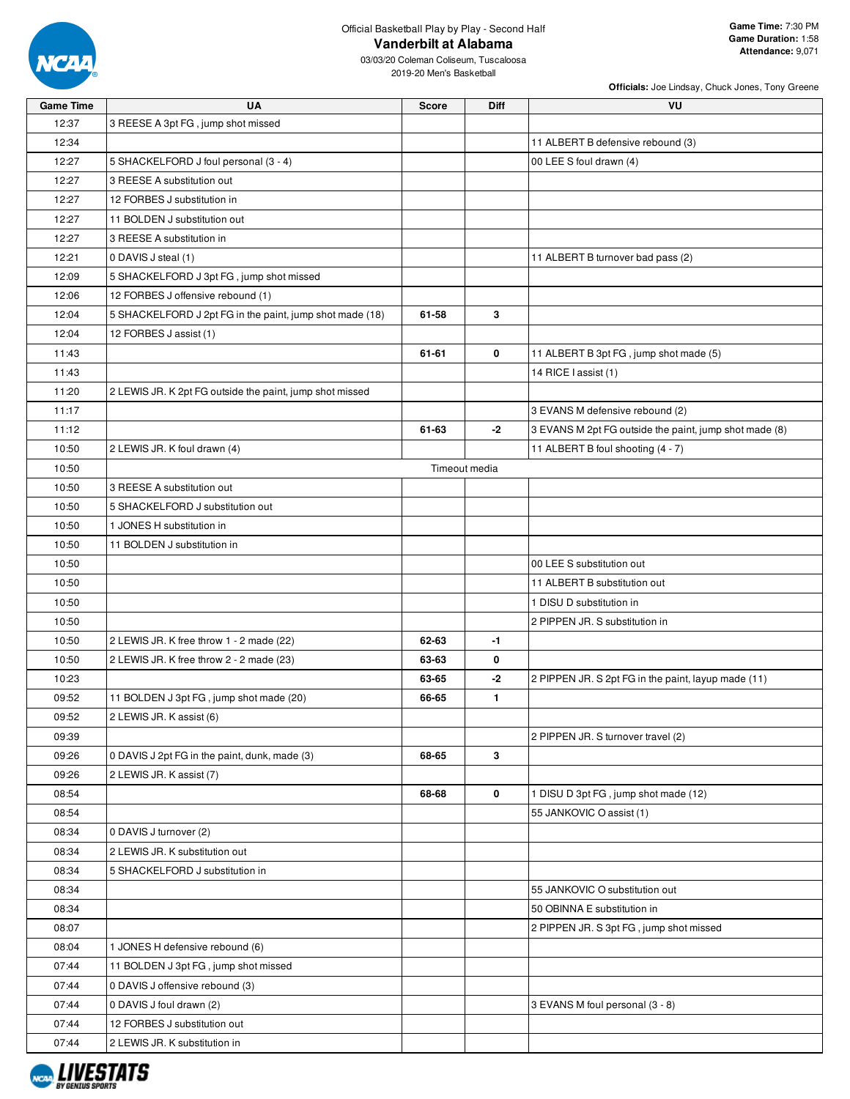

03/03/20 Coleman Coliseum, Tuscaloosa 2019-20 Men's Basketball

| Game Time | UA                                                       | Score | Diff          | VU                                                     |
|-----------|----------------------------------------------------------|-------|---------------|--------------------------------------------------------|
| 12:37     | 3 REESE A 3pt FG, jump shot missed                       |       |               |                                                        |
| 12:34     |                                                          |       |               | 11 ALBERT B defensive rebound (3)                      |
| 12:27     | 5 SHACKELFORD J foul personal (3 - 4)                    |       |               | 00 LEE S foul drawn (4)                                |
| 12:27     | 3 REESE A substitution out                               |       |               |                                                        |
| 12:27     | 12 FORBES J substitution in                              |       |               |                                                        |
| 12:27     | 11 BOLDEN J substitution out                             |       |               |                                                        |
| 12:27     | 3 REESE A substitution in                                |       |               |                                                        |
| 12:21     | 0 DAVIS J steal (1)                                      |       |               | 11 ALBERT B turnover bad pass (2)                      |
| 12:09     | 5 SHACKELFORD J 3pt FG, jump shot missed                 |       |               |                                                        |
| 12:06     | 12 FORBES J offensive rebound (1)                        |       |               |                                                        |
| 12:04     | 5 SHACKELFORD J 2pt FG in the paint, jump shot made (18) | 61-58 | 3             |                                                        |
| 12:04     | 12 FORBES J assist (1)                                   |       |               |                                                        |
| 11:43     |                                                          | 61-61 | $\mathbf 0$   | 11 ALBERT B 3pt FG, jump shot made (5)                 |
| 11:43     |                                                          |       |               | 14 RICE I assist (1)                                   |
| 11:20     | 2 LEWIS JR. K 2pt FG outside the paint, jump shot missed |       |               |                                                        |
| 11:17     |                                                          |       |               | 3 EVANS M defensive rebound (2)                        |
| 11:12     |                                                          | 61-63 | $-2$          | 3 EVANS M 2pt FG outside the paint, jump shot made (8) |
| 10:50     | 2 LEWIS JR. K foul drawn (4)                             |       |               | 11 ALBERT B foul shooting (4 - 7)                      |
| 10:50     |                                                          |       | Timeout media |                                                        |
| 10:50     | 3 REESE A substitution out                               |       |               |                                                        |
| 10:50     | 5 SHACKELFORD J substitution out                         |       |               |                                                        |
| 10:50     | 1 JONES H substitution in                                |       |               |                                                        |
| 10:50     | 11 BOLDEN J substitution in                              |       |               |                                                        |
| 10:50     |                                                          |       |               | 00 LEE S substitution out                              |
| 10:50     |                                                          |       |               | 11 ALBERT B substitution out                           |
| 10:50     |                                                          |       |               | 1 DISU D substitution in                               |
| 10:50     |                                                          |       |               | 2 PIPPEN JR. S substitution in                         |
| 10:50     | 2 LEWIS JR. K free throw 1 - 2 made (22)                 | 62-63 | $-1$          |                                                        |
| 10:50     | 2 LEWIS JR. K free throw 2 - 2 made (23)                 | 63-63 | 0             |                                                        |
| 10:23     |                                                          | 63-65 | -2            | 2 PIPPEN JR. S 2pt FG in the paint, layup made (11)    |
| 09:52     | 11 BOLDEN J 3pt FG, jump shot made (20)                  | 66-65 | 1             |                                                        |
| 09:52     | 2 LEWIS JR. K assist (6)                                 |       |               |                                                        |
| 09:39     |                                                          |       |               | 2 PIPPEN JR. S turnover travel (2)                     |
| 09:26     | 0 DAVIS J 2pt FG in the paint, dunk, made (3)            | 68-65 | 3             |                                                        |
| 09:26     | 2 LEWIS JR. K assist (7)                                 |       |               |                                                        |
| 08:54     |                                                          | 68-68 | 0             | 1 DISU D 3pt FG, jump shot made (12)                   |
| 08:54     |                                                          |       |               | 55 JANKOVIC O assist (1)                               |
| 08:34     | 0 DAVIS J turnover (2)                                   |       |               |                                                        |
| 08:34     | 2 LEWIS JR. K substitution out                           |       |               |                                                        |
| 08:34     | 5 SHACKELFORD J substitution in                          |       |               |                                                        |
| 08:34     |                                                          |       |               | 55 JANKOVIC O substitution out                         |
| 08:34     |                                                          |       |               | 50 OBINNA E substitution in                            |
| 08:07     |                                                          |       |               | 2 PIPPEN JR. S 3pt FG, jump shot missed                |
| 08:04     | 1 JONES H defensive rebound (6)                          |       |               |                                                        |
| 07:44     | 11 BOLDEN J 3pt FG, jump shot missed                     |       |               |                                                        |
| 07:44     | 0 DAVIS J offensive rebound (3)                          |       |               |                                                        |
| 07:44     | 0 DAVIS J foul drawn (2)                                 |       |               | 3 EVANS M foul personal (3 - 8)                        |
| 07:44     | 12 FORBES J substitution out                             |       |               |                                                        |
| 07:44     | 2 LEWIS JR. K substitution in                            |       |               |                                                        |

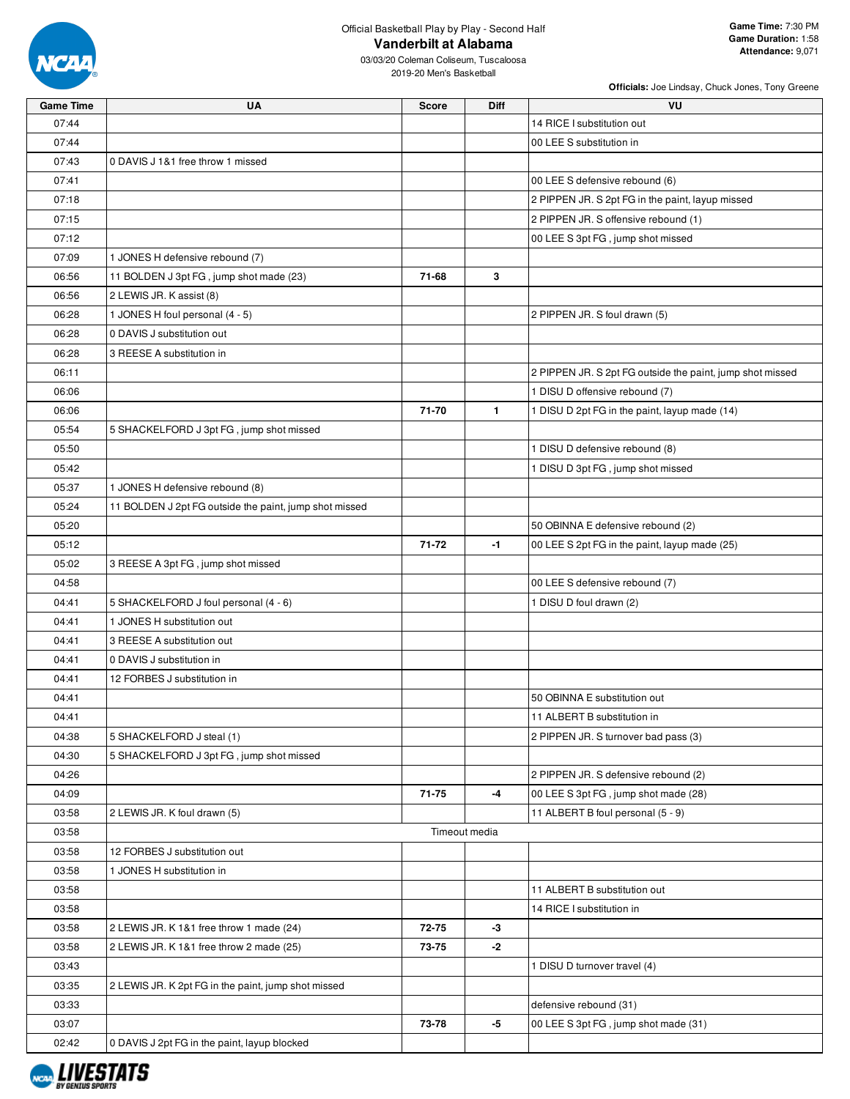

03/03/20 Coleman Coliseum, Tuscaloosa 2019-20 Men's Basketball

| <b>Game Time</b> | UA                                                     | Score     | <b>Diff</b>   | VU                                                        |
|------------------|--------------------------------------------------------|-----------|---------------|-----------------------------------------------------------|
| 07:44            |                                                        |           |               | 14 RICE I substitution out                                |
| 07:44            |                                                        |           |               | 00 LEE S substitution in                                  |
| 07:43            | 0 DAVIS J 1&1 free throw 1 missed                      |           |               |                                                           |
| 07:41            |                                                        |           |               | 00 LEE S defensive rebound (6)                            |
| 07:18            |                                                        |           |               | 2 PIPPEN JR. S 2pt FG in the paint, layup missed          |
| 07:15            |                                                        |           |               | 2 PIPPEN JR. S offensive rebound (1)                      |
| 07:12            |                                                        |           |               | 00 LEE S 3pt FG, jump shot missed                         |
| 07:09            | 1 JONES H defensive rebound (7)                        |           |               |                                                           |
| 06:56            | 11 BOLDEN J 3pt FG, jump shot made (23)                | 71-68     | 3             |                                                           |
| 06:56            | 2 LEWIS JR. K assist (8)                               |           |               |                                                           |
| 06:28            | 1 JONES H foul personal (4 - 5)                        |           |               | 2 PIPPEN JR. S foul drawn (5)                             |
| 06:28            | 0 DAVIS J substitution out                             |           |               |                                                           |
| 06:28            | 3 REESE A substitution in                              |           |               |                                                           |
| 06:11            |                                                        |           |               | 2 PIPPEN JR. S 2pt FG outside the paint, jump shot missed |
| 06:06            |                                                        |           |               | 1 DISU D offensive rebound (7)                            |
| 06:06            |                                                        | 71-70     | $\mathbf{1}$  | 1 DISU D 2pt FG in the paint, layup made (14)             |
| 05:54            | 5 SHACKELFORD J 3pt FG, jump shot missed               |           |               |                                                           |
| 05:50            |                                                        |           |               | 1 DISU D defensive rebound (8)                            |
| 05:42            |                                                        |           |               | 1 DISU D 3pt FG, jump shot missed                         |
| 05:37            | 1 JONES H defensive rebound (8)                        |           |               |                                                           |
| 05:24            | 11 BOLDEN J 2pt FG outside the paint, jump shot missed |           |               |                                                           |
| 05:20            |                                                        |           |               | 50 OBINNA E defensive rebound (2)                         |
| 05:12            |                                                        | 71-72     | $-1$          | 00 LEE S 2pt FG in the paint, layup made (25)             |
| 05:02            | 3 REESE A 3pt FG, jump shot missed                     |           |               |                                                           |
| 04:58            |                                                        |           |               | 00 LEE S defensive rebound (7)                            |
| 04:41            | 5 SHACKELFORD J foul personal (4 - 6)                  |           |               | 1 DISU D foul drawn (2)                                   |
| 04:41            | 1 JONES H substitution out                             |           |               |                                                           |
| 04:41            | 3 REESE A substitution out                             |           |               |                                                           |
| 04:41            | 0 DAVIS J substitution in                              |           |               |                                                           |
| 04:41            | 12 FORBES J substitution in                            |           |               |                                                           |
| 04:41            |                                                        |           |               | 50 OBINNA E substitution out                              |
| 04:41            |                                                        |           |               | 11 ALBERT B substitution in                               |
| 04:38            | 5 SHACKELFORD J steal (1)                              |           |               | 2 PIPPEN JR. S turnover bad pass (3)                      |
| 04:30            | 5 SHACKELFORD J 3pt FG, jump shot missed               |           |               |                                                           |
| 04:26            |                                                        |           |               | 2 PIPPEN JR. S defensive rebound (2)                      |
| 04:09            |                                                        | $71 - 75$ | -4            | 00 LEE S 3pt FG, jump shot made (28)                      |
| 03:58            | 2 LEWIS JR. K foul drawn (5)                           |           |               | 11 ALBERT B foul personal (5 - 9)                         |
| 03:58            |                                                        |           | Timeout media |                                                           |
| 03:58            | 12 FORBES J substitution out                           |           |               |                                                           |
| 03:58            | 1 JONES H substitution in                              |           |               |                                                           |
| 03:58            |                                                        |           |               | 11 ALBERT B substitution out                              |
| 03:58            |                                                        |           |               | 14 RICE I substitution in                                 |
| 03:58            | 2 LEWIS JR. K 1&1 free throw 1 made (24)               | 72-75     | $-3$          |                                                           |
| 03:58            | 2 LEWIS JR. K 1&1 free throw 2 made (25)               | 73-75     | $-2$          |                                                           |
| 03:43            |                                                        |           |               | 1 DISU D turnover travel (4)                              |
| 03:35            | 2 LEWIS JR. K 2pt FG in the paint, jump shot missed    |           |               |                                                           |
| 03:33            |                                                        |           |               | defensive rebound (31)                                    |
| 03:07            |                                                        | 73-78     | -5            | 00 LEE S 3pt FG, jump shot made (31)                      |
| 02:42            | 0 DAVIS J 2pt FG in the paint, layup blocked           |           |               |                                                           |

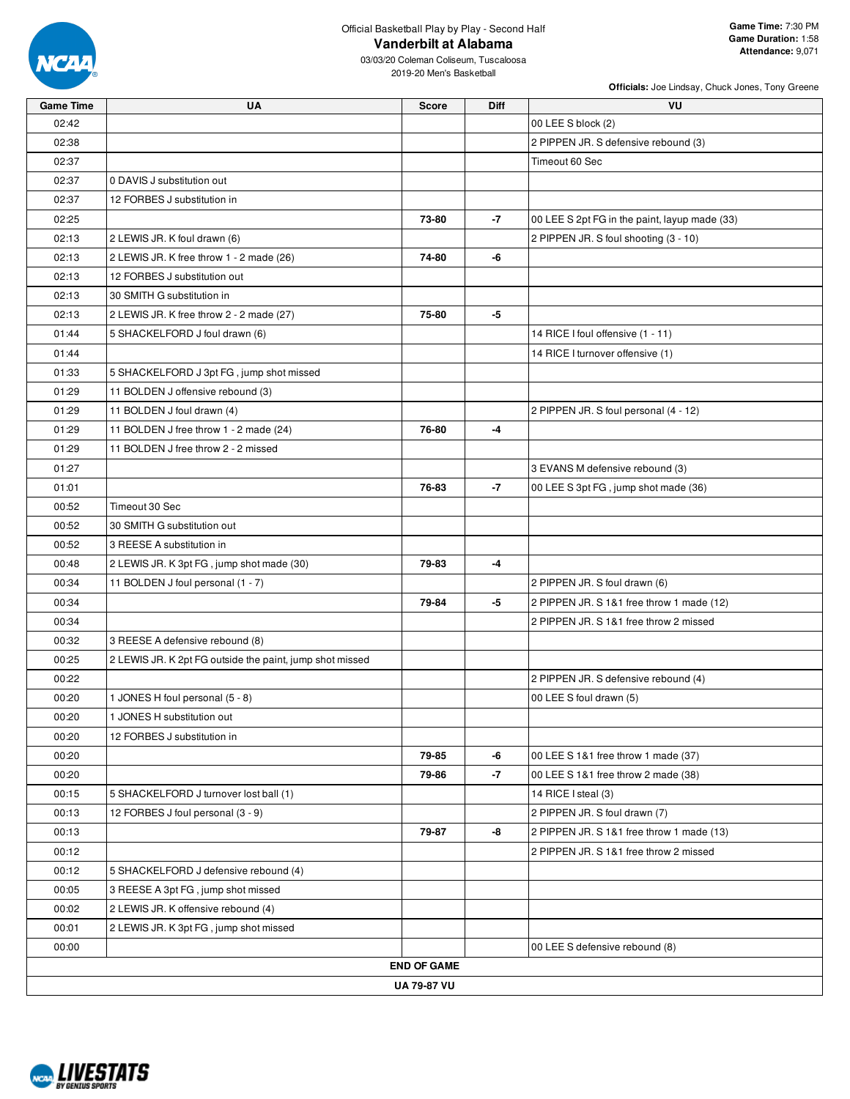

03/03/20 Coleman Coliseum, Tuscaloosa 2019-20 Men's Basketball

| <b>Game Time</b> | UA                                                       | <b>Score</b>       | Diff | VU                                            |
|------------------|----------------------------------------------------------|--------------------|------|-----------------------------------------------|
| 02:42            |                                                          |                    |      | 00 LEE S block (2)                            |
| 02:38            |                                                          |                    |      | 2 PIPPEN JR. S defensive rebound (3)          |
| 02:37            |                                                          |                    |      | Timeout 60 Sec                                |
| 02:37            | 0 DAVIS J substitution out                               |                    |      |                                               |
| 02:37            | 12 FORBES J substitution in                              |                    |      |                                               |
| 02:25            |                                                          | 73-80              | -7   | 00 LEE S 2pt FG in the paint, layup made (33) |
| 02:13            | 2 LEWIS JR. K foul drawn (6)                             |                    |      | 2 PIPPEN JR. S foul shooting (3 - 10)         |
| 02:13            | 2 LEWIS JR. K free throw 1 - 2 made (26)                 | 74-80              | -6   |                                               |
| 02:13            | 12 FORBES J substitution out                             |                    |      |                                               |
| 02:13            | 30 SMITH G substitution in                               |                    |      |                                               |
| 02:13            | 2 LEWIS JR. K free throw 2 - 2 made (27)                 | 75-80              | -5   |                                               |
| 01:44            | 5 SHACKELFORD J foul drawn (6)                           |                    |      | 14 RICE I foul offensive (1 - 11)             |
| 01:44            |                                                          |                    |      | 14 RICE I turnover offensive (1)              |
| 01:33            | 5 SHACKELFORD J 3pt FG, jump shot missed                 |                    |      |                                               |
| 01:29            | 11 BOLDEN J offensive rebound (3)                        |                    |      |                                               |
| 01:29            | 11 BOLDEN J foul drawn (4)                               |                    |      | 2 PIPPEN JR. S foul personal (4 - 12)         |
| 01:29            | 11 BOLDEN J free throw 1 - 2 made (24)                   | 76-80              | -4   |                                               |
| 01:29            | 11 BOLDEN J free throw 2 - 2 missed                      |                    |      |                                               |
| 01:27            |                                                          |                    |      | 3 EVANS M defensive rebound (3)               |
| 01:01            |                                                          | 76-83              | $-7$ | 00 LEE S 3pt FG, jump shot made (36)          |
| 00:52            | Timeout 30 Sec                                           |                    |      |                                               |
| 00:52            | 30 SMITH G substitution out                              |                    |      |                                               |
| 00:52            | 3 REESE A substitution in                                |                    |      |                                               |
| 00:48            | 2 LEWIS JR. K 3pt FG, jump shot made (30)                | 79-83              | -4   |                                               |
| 00:34            | 11 BOLDEN J foul personal (1 - 7)                        |                    |      | 2 PIPPEN JR. S foul drawn (6)                 |
| 00:34            |                                                          | 79-84              | -5   | 2 PIPPEN JR. S 1&1 free throw 1 made (12)     |
| 00:34            |                                                          |                    |      | 2 PIPPEN JR. S 1&1 free throw 2 missed        |
| 00:32            | 3 REESE A defensive rebound (8)                          |                    |      |                                               |
| 00:25            | 2 LEWIS JR. K 2pt FG outside the paint, jump shot missed |                    |      |                                               |
| 00:22            |                                                          |                    |      | 2 PIPPEN JR. S defensive rebound (4)          |
| 00:20            | 1 JONES H foul personal (5 - 8)                          |                    |      | 00 LEE S foul drawn (5)                       |
| 00:20            | 1 JONES H substitution out                               |                    |      |                                               |
| 00:20            | 12 FORBES J substitution in                              |                    |      |                                               |
| 00:20            |                                                          | 79-85              | -6   | 00 LEE S 1&1 free throw 1 made (37)           |
| 00:20            |                                                          | 79-86              | $-7$ | 00 LEE S 1&1 free throw 2 made (38)           |
| 00:15            | 5 SHACKELFORD J turnover lost ball (1)                   |                    |      | 14 RICE I steal (3)                           |
| 00:13            | 12 FORBES J foul personal (3 - 9)                        |                    |      | 2 PIPPEN JR. S foul drawn (7)                 |
| 00:13            |                                                          | 79-87              | -8   | 2 PIPPEN JR. S 1&1 free throw 1 made (13)     |
| 00:12            |                                                          |                    |      | 2 PIPPEN JR. S 1&1 free throw 2 missed        |
| 00:12            | 5 SHACKELFORD J defensive rebound (4)                    |                    |      |                                               |
| 00:05            | 3 REESE A 3pt FG, jump shot missed                       |                    |      |                                               |
| 00:02            | 2 LEWIS JR. K offensive rebound (4)                      |                    |      |                                               |
| 00:01            | 2 LEWIS JR. K 3pt FG, jump shot missed                   |                    |      |                                               |
| 00:00            |                                                          |                    |      | 00 LEE S defensive rebound (8)                |
|                  |                                                          | <b>END OF GAME</b> |      |                                               |
|                  |                                                          | <b>UA 79-87 VU</b> |      |                                               |

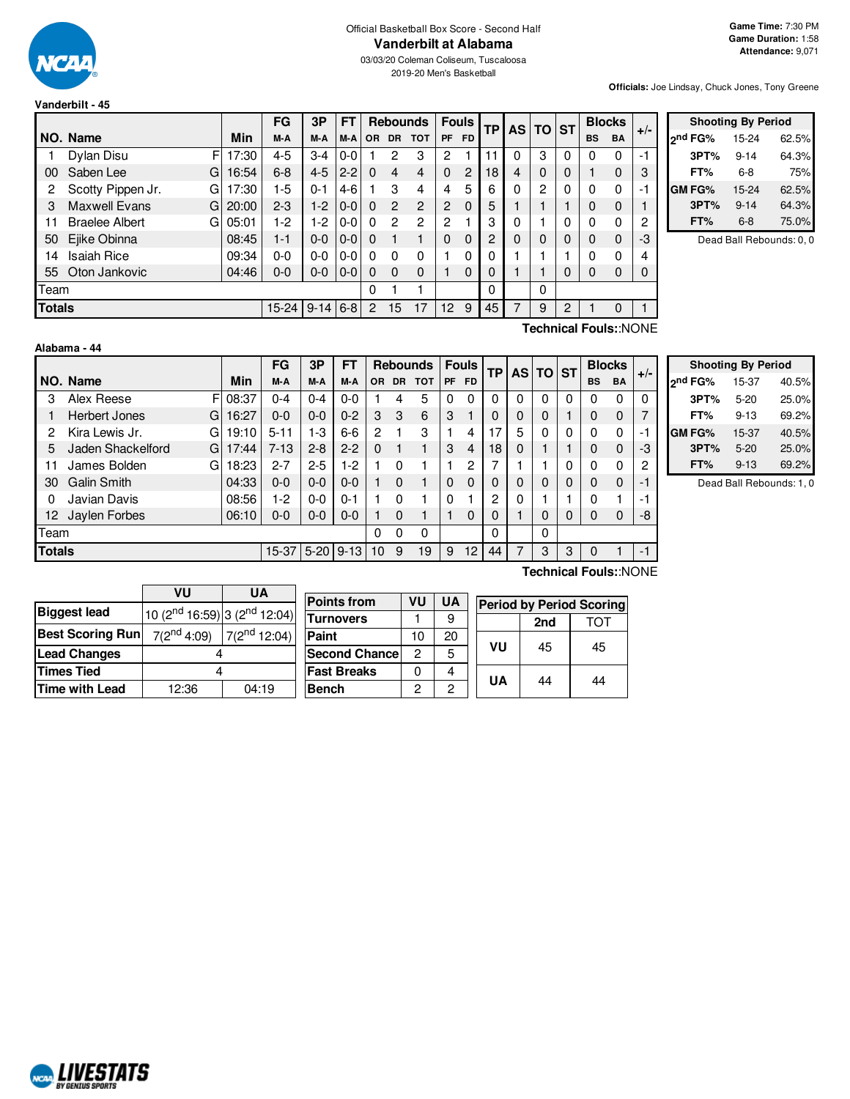

**Vanderbilt - 45**

03/03/20 Coleman Coliseum, Tuscaloosa 2019-20 Men's Basketball

**Officials:** Joe Lindsay, Chuck Jones, Tony Greene

|               |                            |       | FG      | 3P       | FT       |           |           | <b>Rebounds</b> | <b>Fouls</b>    |                | <b>TP</b> |   | AS TO ST |          |           | <b>Blocks</b> | $+/-$ |
|---------------|----------------------------|-------|---------|----------|----------|-----------|-----------|-----------------|-----------------|----------------|-----------|---|----------|----------|-----------|---------------|-------|
|               | NO. Name                   | Min   | M-A     | M-A      | M-A      | <b>OR</b> | <b>DR</b> | <b>TOT</b>      | PF              | <b>FD</b>      |           |   |          |          | <b>BS</b> | <b>BA</b>     |       |
|               | Dylan Disu<br>F            | 17:30 | 4-5     | $3 - 4$  | $0-0$    |           | 2         | 3               | 2               |                |           | 0 | 3        | $\Omega$ | 0         | 0             | $-1$  |
| 00            | Saben Lee<br>G             | 16:54 | $6 - 8$ | $4 - 5$  | $2 - 2$  | $\Omega$  | 4         | 4               | $\Omega$        | $\overline{c}$ | 18        | 4 | $\Omega$ | 0        |           | 0             | 3     |
| 2             | Scotty Pippen Jr.<br>G     | 17:30 | 1-5     | $0 - 1$  | $4-6$    |           | 3         | 4               | 4               | 5              | 6         | 0 | 2        | 0        | 0         | 0             | -1    |
| 3             | <b>Maxwell Evans</b><br>G  | 20:00 | $2-3$   | $1-2$    | $0 - 0$  | $\Omega$  | 2         | 2               | 2               | $\Omega$       | 5         |   |          |          | 0         | 0             |       |
| 11            | <b>Braelee Albert</b><br>G | 05:01 | $1-2$   | $1-2$    | $0 - 0$  | $\Omega$  | 2         | 2               | $\overline{c}$  |                | 3         | 0 |          | 0        | 0         | 0             | 2     |
| 50            | Ejike Obinna               | 08:45 | $1 - 1$ | $0 - 0$  | $0-0$    | $\Omega$  |           |                 | $\Omega$        | $\Omega$       | 2         | 0 | $\Omega$ | 0        | 0         | $\mathbf 0$   | -3    |
| 14            | <b>Isaiah Rice</b>         | 09:34 | 0-0     | $0 - 0$  | $0 - 01$ | 0         | ŋ         | 0               |                 | 0              | 0         |   |          |          | 0         | 0             | 4     |
|               | 55 Oton Jankovic           | 04:46 | 0-0     | $0-0$    | $0-0$    | $\Omega$  | $\Omega$  | $\Omega$        |                 | $\mathbf 0$    | 0         |   |          | 0        | 0         | 0             | 0     |
| Team          |                            |       |         |          |          | 0         |           |                 |                 |                | 0         |   | 0        |          |           |               |       |
| <b>Totals</b> |                            |       | 15-24   | $9 - 14$ | $6 - 8$  | 2         | 15        | 17              | 12 <sup>2</sup> | 9              | 45        | 7 | 9        | 2        |           | 0             | 1     |

|                     | <b>Shooting By Period</b> |       |
|---------------------|---------------------------|-------|
| <sub>2</sub> nd FG% | 15-24                     | 62.5% |
| 3PT%                | $9 - 14$                  | 64.3% |
| FT%                 | 6-8                       | 75%   |
| GM FG%              | 15-24                     | 62.5% |
| 3PT%                | $9 - 14$                  | 64.3% |
| FT%                 | 6-8                       | 75.0% |

Dead Ball Rebounds: 0, 0

## **Alabama - 44**

**Technical Fouls:**:NONE

|               |                           |       | FG       | 3P          | FT      |     |          | <b>Rebounds</b> |          |                | <b>Fouls</b> |   | <b>TP</b> |         | AS TO ST  |             |    | <b>Blocks</b> | $+/-$ |
|---------------|---------------------------|-------|----------|-------------|---------|-----|----------|-----------------|----------|----------------|--------------|---|-----------|---------|-----------|-------------|----|---------------|-------|
|               | NO. Name                  | Min   | M-A      | M-A         | M-A     | OR. |          | DR TOT          |          | PF FD          |              |   |           |         | <b>BS</b> | <b>BA</b>   |    |               |       |
| 3             | Alex Reese<br>FI          | 08:37 | $0 - 4$  | $0 - 4$     | $0 - 0$ |     | 4        | 5               | 0        | 0              |              | 0 | 0         | 0       |           | 0           | 0  |               |       |
|               | <b>Herbert Jones</b><br>G | 16:27 | $0-0$    | $0 - 0$     | $0 - 2$ | 3   | 3        | 6               | 3        |                |              | 0 | 0         |         |           | $\mathbf 0$ |    |               |       |
| 2             | Kira Lewis Jr.<br>G       | 19:10 | $5 - 11$ | $1-3$       | $6-6$   | 2   |          | 3               |          | 4              |              | 5 | 0         | 0       |           | 0           | ÷, |               |       |
| 5             | Jaden Shackelford<br>G    | 17:44 | $7 - 13$ | $2 - 8$     | $2 - 2$ | 0   |          |                 | 3        | $\overline{4}$ | 18           | 0 |           |         |           | $\mathbf 0$ | -3 |               |       |
| 11            | James Bolden<br>G         | 18:23 | $2 - 7$  | $2 - 5$     | $1-2$   |     | 0        |                 |          | 2              |              |   |           | 0       |           | 0           | 2  |               |       |
| 30            | <b>Galin Smith</b>        | 04:33 | $0 - 0$  | $0 - 0$     | $0 - 0$ |     | $\Omega$ |                 | $\Omega$ | 0              |              | 0 | 0         | 0       |           | $\mathbf 0$ | ÷  |               |       |
| 0             | Javian Davis              | 08:56 | 1-2      | $0-0$       | $0 - 1$ |     | 0        |                 | $\Omega$ |                | ◠            | 0 |           |         |           |             | ٠  |               |       |
| 12            | Jaylen Forbes             | 06:10 | $0 - 0$  | $0 - 0$     | $0 - 0$ |     | $\Omega$ |                 |          | 0              | 0            |   | 0         | 0       |           | $\mathbf 0$ | -8 |               |       |
| Team          |                           |       |          |             |         | 0   | 0        | 0               |          |                | 0            |   | 0         |         |           |             |    |               |       |
| <b>Totals</b> |                           |       | $15-37$  | $5-20$ 9-13 |         | 10  | 9        | 19              | 9        | 12             | 44           | 7 | 3         | 3<br>-1 |           |             |    |               |       |
|               | <br>-                     |       |          |             |         |     |          |                 |          |                |              |   |           |         |           |             |    |               |       |

**Shooting By Period 2 nd FG%** 15-37 40.5% **3PT%** 5-20 25.0% **FT%** 9-13 69.2% **GM FG%** 15-37 40.5% **3PT%** 5-20 25.0% **FT%** 9-13 69.2%

Dead Ball Rebounds: 1, 0

|                         | VU                                 | UA                |  |  |  |  |  |
|-------------------------|------------------------------------|-------------------|--|--|--|--|--|
| Biggest lead            | 10 ( $2nd$ 16:59) 3 ( $2nd$ 12:04) |                   |  |  |  |  |  |
| <b>Best Scoring Run</b> | $7(2^{nd}4:09)$                    | $7(2^{nd} 12:04)$ |  |  |  |  |  |
| <b>Lead Changes</b>     |                                    |                   |  |  |  |  |  |
| <b>Times Tied</b>       |                                    |                   |  |  |  |  |  |
| Time with Lead          | 12:36<br>04:19                     |                   |  |  |  |  |  |

| <b>Points from</b>    | VU | UA | <b>Period by Period Scoring</b> |     |    |    |  |  |  |  |  |
|-----------------------|----|----|---------------------------------|-----|----|----|--|--|--|--|--|
| <b>Turnovers</b>      |    | 9  |                                 | 2nd |    |    |  |  |  |  |  |
| Paint                 | 10 | 20 |                                 |     |    |    |  |  |  |  |  |
| <b>Second Chancel</b> | 2  | 5  |                                 | VU  | 45 | 45 |  |  |  |  |  |
| <b>Fast Breaks</b>    | ი  |    |                                 |     |    |    |  |  |  |  |  |
| <b>Bench</b>          | 2  | 2  |                                 | UA  | 44 | 44 |  |  |  |  |  |

# **Technical Fouls:**:NONE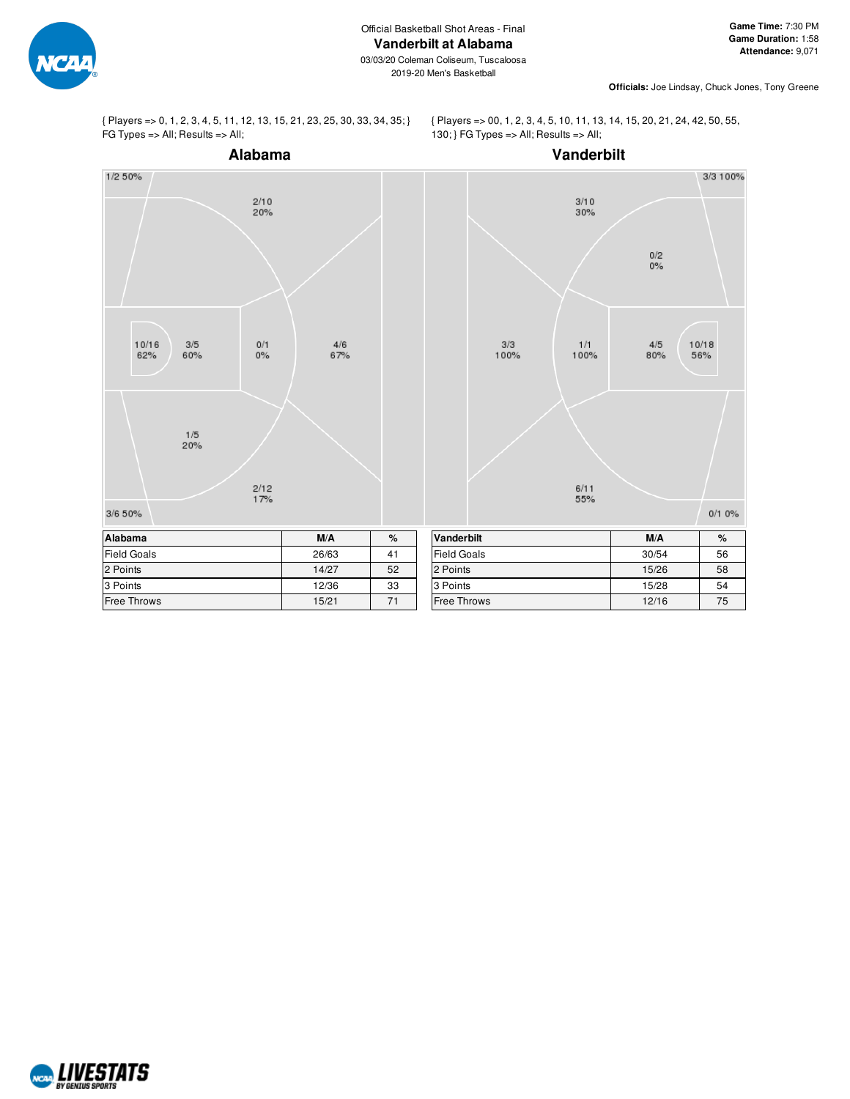

2019-20 Men's Basketball

**Officials:** Joe Lindsay, Chuck Jones, Tony Greene

{ Players => 0, 1, 2, 3, 4, 5, 11, 12, 13, 15, 21, 23, 25, 30, 33, 34, 35; } FG Types => All; Results => All;

{ Players => 00, 1, 2, 3, 4, 5, 10, 11, 13, 14, 15, 20, 21, 24, 42, 50, 55, 130; } FG Types => All; Results => All;



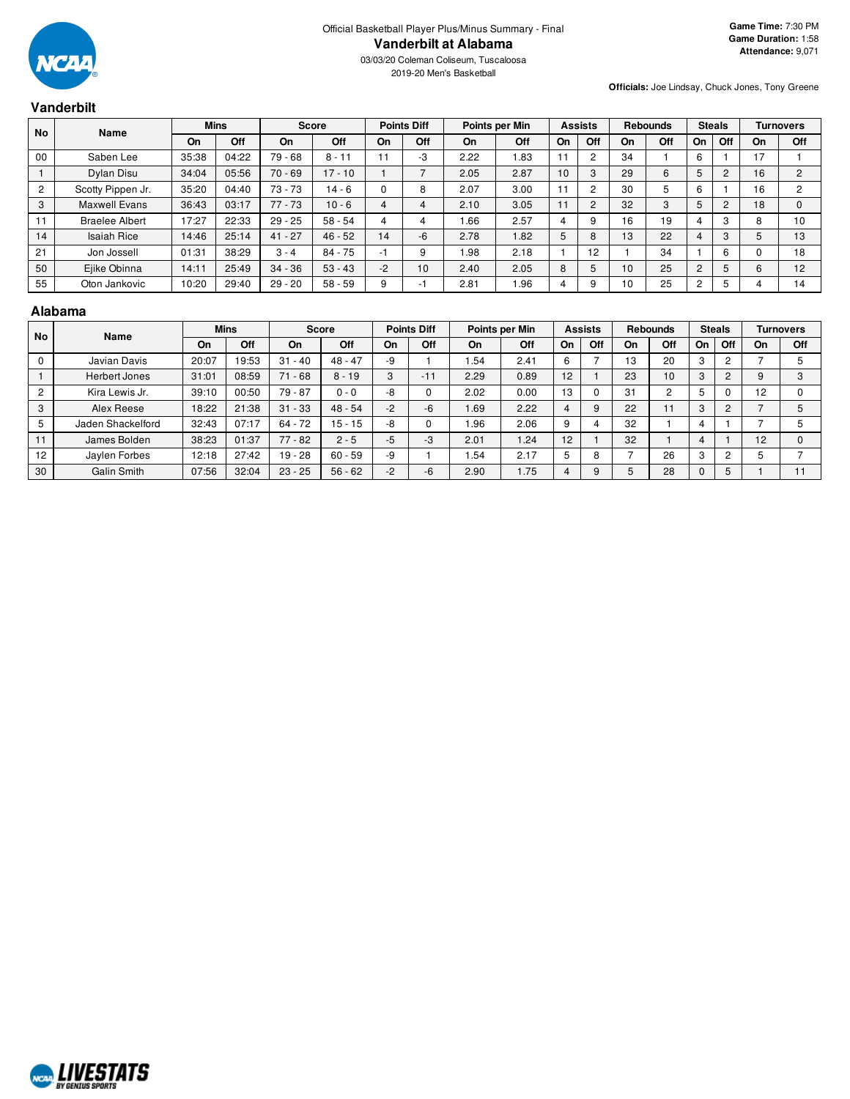

2019-20 Men's Basketball

# **Vanderbilt**

**Officials:** Joe Lindsay, Chuck Jones, Tony Greene

| <b>No</b>      | <b>Name</b>           |       | <b>Mins</b> | <b>Score</b> |           | <b>Points Diff</b><br>Points per Min |     |           | <b>Assists</b> |                | <b>Rebounds</b> |    | <b>Steals</b> |                | <b>Turnovers</b> |    |     |
|----------------|-----------------------|-------|-------------|--------------|-----------|--------------------------------------|-----|-----------|----------------|----------------|-----------------|----|---------------|----------------|------------------|----|-----|
|                |                       | On    | Off         | On           | Off       | On                                   | Off | <b>On</b> | Off            | <b>On</b>      | Off             | On | Off           | On             | Off              | On | Off |
| 00             | Saben Lee             | 35:38 | 04:22       | $79 - 68$    | $8 - 11$  | 11                                   | -3  | 2.22      | 1.83           | 11             | 2               | 34 |               | 6              |                  | 17 |     |
|                | Dylan Disu            | 34:04 | 05:56       | $70 - 69$    | $17 - 10$ |                                      |     | 2.05      | 2.87           | 10             | 3               | 29 | 6             | 5              |                  | 16 | 2   |
| $\overline{2}$ | Scotty Pippen Jr.     | 35:20 | 04:40       | $73 - 73$    | $14 - 6$  |                                      | 8   | 2.07      | 3.00           | 11             | $\sim$          | 30 | 5             | 6              |                  | 16 | 2   |
| 3              | <b>Maxwell Evans</b>  | 36:43 | 03:17       | $77 - 73$    | $10 - 6$  | 4                                    | 4   | 2.10      | 3.05           | 11             | 2               | 32 | 3             | 5              |                  | 18 | 0   |
| 11             | <b>Braelee Albert</b> | 17:27 | 22:33       | $29 - 25$    | $58 - 54$ | 4                                    |     | 1.66      | 2.57           | 4              | 9               | 16 | 19            |                |                  | 8  | 10  |
| 14             | <b>Isaiah Rice</b>    | 14:46 | 25:14       | $41 - 27$    | $46 - 52$ | 14                                   | -6  | 2.78      | 1.82           | 5              | 8               | 13 | 22            | 4              | ۰J.              | 5  | 13  |
| 21             | Jon Jossell           | 01:31 | 38:29       | $3 - 4$      | $84 - 75$ | $-1$                                 | 9   | 1.98      | 2.18           |                | 12              |    | 34            |                | 6                |    | 18  |
| 50             | Ejike Obinna          | 14:11 | 25:49       | $34 - 36$    | $53 - 43$ | $-2$                                 | 10  | 2.40      | 2.05           | 8              | 5               | 10 | 25            | $\overline{2}$ |                  | 6  | 12  |
| 55             | Oton Jankovic         | 10:20 | 29:40       | $29 - 20$    | $58 - 59$ | 9                                    |     | 2.81      | 1.96           | $\overline{4}$ | 9               | 10 | 25            | 2              |                  |    | 14  |

#### **Alabama**

| <b>No</b>      | <b>Name</b>          |       | <b>Mins</b> |           | <b>Score</b> |      | <b>Points Diff</b> |      | Points per Min |    | <b>Assists</b> |    | <b>Rebounds</b> |               | <b>Steals</b> |    | <b>Turnovers</b> |
|----------------|----------------------|-------|-------------|-----------|--------------|------|--------------------|------|----------------|----|----------------|----|-----------------|---------------|---------------|----|------------------|
|                |                      | On    | Off         | On        | Off          | On   | Off                | On   | Off            | On | Off            | On | Off             | On            | Off           | On | Off              |
|                | Javian Davis         | 20:07 | 19:53       | $31 - 40$ | $48 - 47$    | -9   |                    | .54  | 2.41           |    |                | 13 | 20              | $\sim$<br>- 3 | ◠             |    |                  |
|                | <b>Herbert Jones</b> | 31:01 | 08:59       | $71 - 68$ | $8 - 19$     | 3    | $-11$              | 2.29 | 0.89           | 12 |                | 23 | 10              | 3             | C             |    |                  |
| $\overline{2}$ | Kira Lewis Jr.       | 39:10 | 00:50       | $79 - 87$ | $0 - 0$      | -8   |                    | 2.02 | 0.00           | 13 |                | 31 | C               | 5             | υ             | 12 |                  |
| 3              | Alex Reese           | 18:22 | 21:38       | $31 - 33$ | $48 - 54$    | $-2$ | -6                 | .69  | 2.22           |    |                | 22 |                 | 3             | 2             |    |                  |
|                | Jaden Shackelford    | 32:43 | 07:17       | 64 - 72   | $15 - 15$    | -8   |                    | .96  | 2.06           |    |                | 32 |                 | 4             |               |    |                  |
| $-1$           | James Bolden         | 38:23 | 01:37       | $77 - 82$ | $2 - 5$      | $-5$ | -3                 | 2.01 | .24            | 12 |                | 32 |                 | 4             |               | 12 |                  |
| 12             | Jaylen Forbes        | 12:18 | 27:42       | $19 - 28$ | $60 - 59$    | -9   |                    | .54  | 2.17           |    | o              |    | 26              | 3             | 2             |    |                  |
| 30             | Galin Smith          | 07:56 | 32:04       | $23 - 25$ | $56 - 62$    | $-2$ | -6                 | 2.90 | 1.75           |    |                |    | 28              |               |               |    |                  |

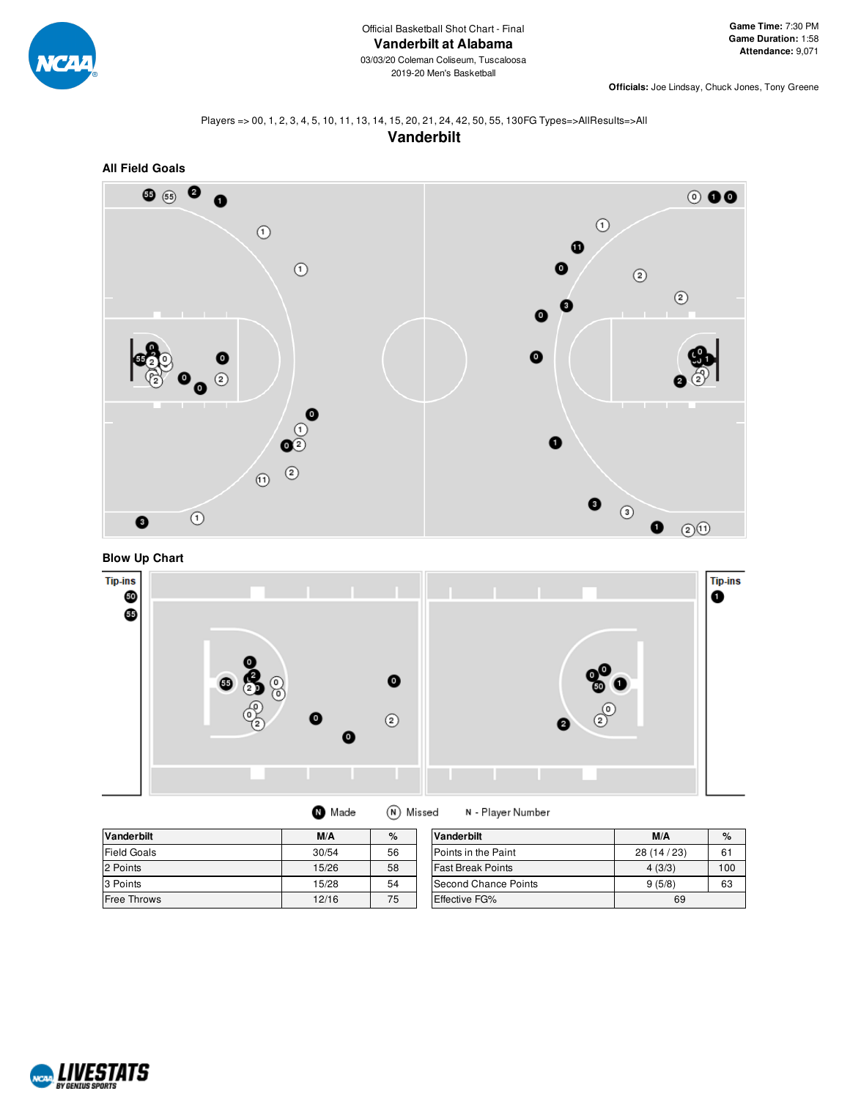

**Officials:** Joe Lindsay, Chuck Jones, Tony Greene

#### Players => 00, 1, 2, 3, 4, 5, 10, 11, 13, 14, 15, 20, 21, 24, 42, 50, 55, 130FG Types=>AllResults=>All **Vanderbilt**



**Blow Up Chart**



| <b>Vanderbilt</b>  | M/A   | %  | Vanderbilt               | M/A       | %   |
|--------------------|-------|----|--------------------------|-----------|-----|
|                    |       |    |                          |           |     |
| <b>Field Goals</b> | 30/54 | 56 | Points in the Paint      | 28(14/23) | 61  |
| 2 Points           | 15/26 | 58 | <b>Fast Break Points</b> | 4(3/3)    | 100 |
| 3 Points           | 15/28 | 54 | Second Chance Points     | 9(5/8)    | 63  |
| Free Throws        | 12/16 | 75 | Effective FG%            | 69        |     |

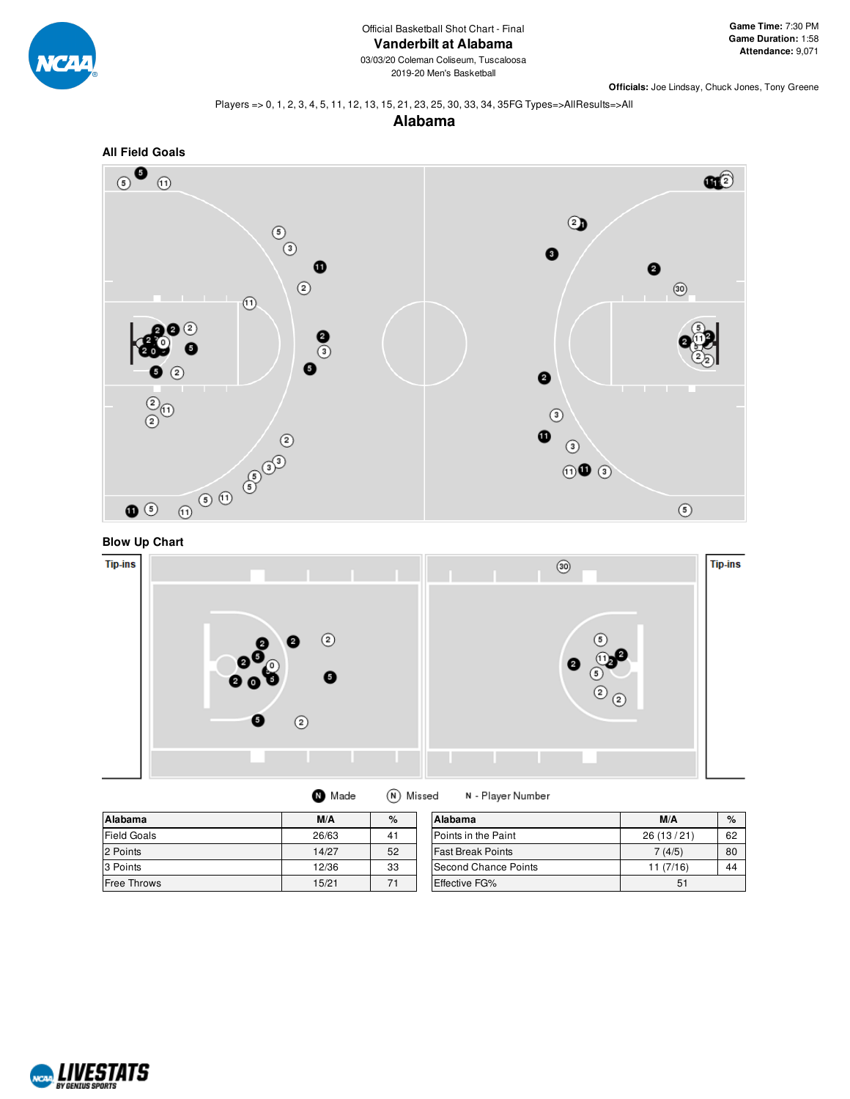

03/03/20 Coleman Coliseum, Tuscaloosa 2019-20 Men's Basketball

**Officials:** Joe Lindsay, Chuck Jones, Tony Greene

#### Players => 0, 1, 2, 3, 4, 5, 11, 12, 13, 15, 21, 23, 25, 30, 33, 34, 35FG Types=>AllResults=>All









| Alabama            | M/A   | $\%$ | Alabama                  | M/A       | %  |
|--------------------|-------|------|--------------------------|-----------|----|
| Field Goals        | 26/63 | 41   | Points in the Paint      | 26(13/21) | 62 |
| 2 Points           | 14/27 | 52   | <b>Fast Break Points</b> | 7(4/5)    | 80 |
| 3 Points           | 12/36 | 33   | Second Chance Points     | 11(7/16)  | 44 |
| <b>Free Throws</b> | 15/21 | 71   | Effective FG%            | 51        |    |

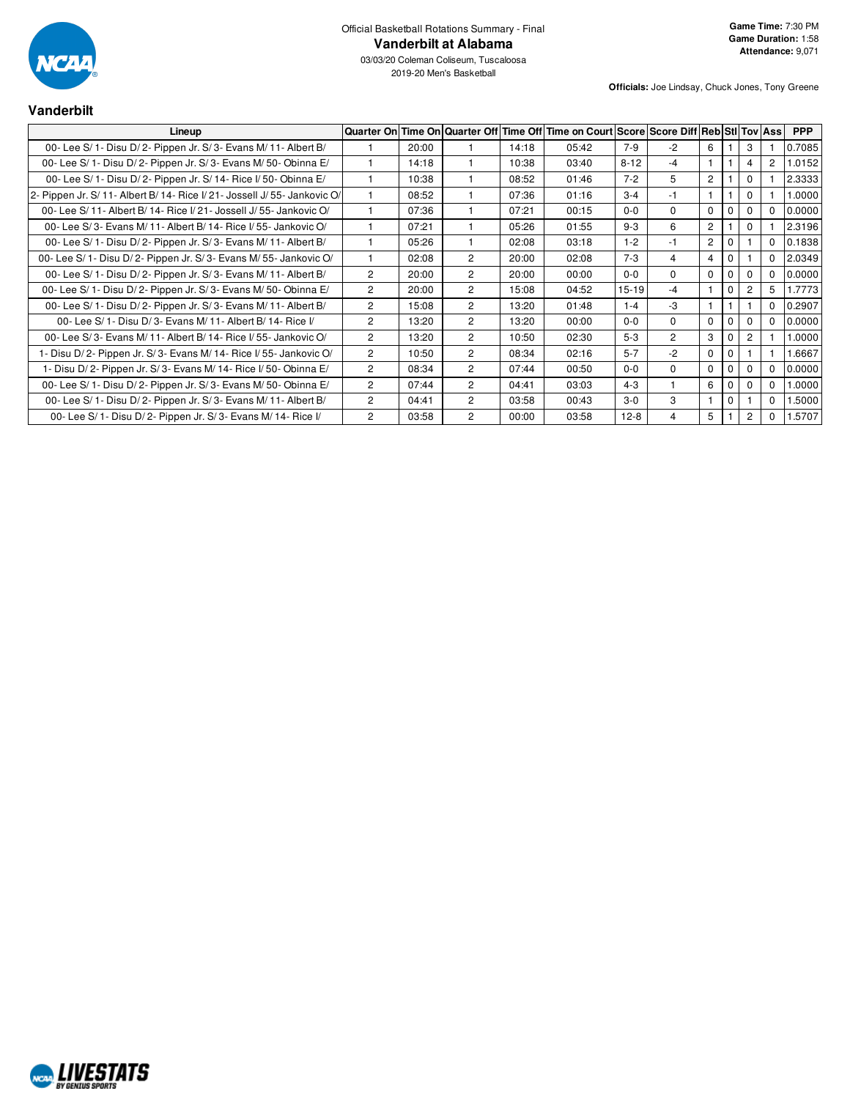

03/03/20 Coleman Coliseum, Tuscaloosa 2019-20 Men's Basketball

#### **Vanderbilt**

| Lineup                                                                    |                |       |                |       | Quarter On Time On Quarter Off Time Off Time on Court Score Score Diff Reb Stil Tov Ass |           |                |                |          |                       |                | <b>PPP</b> |
|---------------------------------------------------------------------------|----------------|-------|----------------|-------|-----------------------------------------------------------------------------------------|-----------|----------------|----------------|----------|-----------------------|----------------|------------|
| 00- Lee S/ 1- Disu D/ 2- Pippen Jr. S/ 3- Evans M/ 11- Albert B/          |                | 20:00 |                | 14:18 | 05:42                                                                                   | $7-9$     | $-2$           | 6              |          | 3                     |                | 0.7085     |
| 00- Lee S/ 1- Disu D/ 2- Pippen Jr. S/ 3- Evans M/ 50- Obinna E/          |                | 14:18 |                | 10:38 | 03:40                                                                                   | $8 - 12$  | $-4$           | 1              |          | 4                     | $\overline{2}$ | .0152      |
| 00- Lee S/ 1- Disu D/ 2- Pippen Jr. S/ 14- Rice I/ 50- Obinna E/          |                | 10:38 |                | 08:52 | 01:46                                                                                   | $7 - 2$   | 5              | $\overline{c}$ |          | 0                     |                | 2.3333     |
| 2- Pippen Jr. S/ 11- Albert B/ 14- Rice I/ 21- Jossell J/ 55- Jankovic O/ |                | 08:52 |                | 07:36 | 01:16                                                                                   | $3 - 4$   | $-1$           | 1              |          | $\Omega$              |                | .0000      |
| 00- Lee S/11- Albert B/14- Rice I/21- Jossell J/55- Jankovic O/           |                | 07:36 |                | 07:21 | 00:15                                                                                   | $0 - 0$   | $\Omega$       | $\Omega$       | $\Omega$ | $\Omega$              | 0              | 0.0000     |
| 00- Lee S/3- Evans M/11- Albert B/14- Rice I/55- Jankovic O/              |                | 07:21 |                | 05:26 | 01:55                                                                                   | $9 - 3$   | 6              | $\overline{2}$ |          | $\mathbf{0}$          |                | 2.3196     |
| 00- Lee S/ 1- Disu D/ 2- Pippen Jr. S/ 3- Evans M/ 11- Albert B/          |                | 05:26 |                | 02:08 | 03:18                                                                                   | $1 - 2$   | $-1$           | $\overline{2}$ | 0        |                       | 0              | 0.1838     |
| 00- Lee S/ 1- Disu D/ 2- Pippen Jr. S/ 3- Evans M/ 55- Jankovic O/        |                | 02:08 | $\overline{2}$ | 20:00 | 02:08                                                                                   | $7 - 3$   | 4              | $\overline{4}$ | 0        |                       | 0              | 2.0349     |
| 00- Lee S/ 1- Disu D/ 2- Pippen Jr. S/ 3- Evans M/ 11- Albert B/          | $\overline{2}$ | 20:00 | $\overline{2}$ | 20:00 | 00:00                                                                                   | $0 - 0$   | $\Omega$       | $\Omega$       | 0        | $\Omega$              | 0              | 0.0000     |
| 00- Lee S/ 1- Disu D/ 2- Pippen Jr. S/ 3- Evans M/ 50- Obinna E/          | $\overline{2}$ | 20:00 | $\overline{2}$ | 15:08 | 04:52                                                                                   | $15 - 19$ | $-4$           |                | 0        | $\mathbf{2}^{\prime}$ | 5              | 1.7773     |
| 00- Lee S/ 1- Disu D/ 2- Pippen Jr. S/ 3- Evans M/ 11- Albert B/          | $\overline{2}$ | 15:08 | $\overline{2}$ | 13:20 | 01:48                                                                                   | $1 - 4$   | $-3$           |                |          |                       | 0              | 0.2907     |
| 00- Lee S/ 1- Disu D/ 3- Evans M/ 11- Albert B/ 14- Rice I/               | $\overline{2}$ | 13:20 | $\overline{2}$ | 13:20 | 00:00                                                                                   | $0 - 0$   | $\Omega$       | $\Omega$       | 0        | $\Omega$              | 0              | 0.0000     |
| 00- Lee S/3- Evans M/11- Albert B/14- Rice I/55- Jankovic O/              | $\overline{2}$ | 13:20 | $\overline{2}$ | 10:50 | 02:30                                                                                   | $5-3$     | $\overline{2}$ | 3              | $\Omega$ | $\overline{c}$        |                | .0000      |
| 1- Disu D/2- Pippen Jr. S/3- Evans M/14- Rice I/55- Jankovic O/           | $\overline{2}$ | 10:50 | $\overline{2}$ | 08:34 | 02:16                                                                                   | $5 - 7$   | $-2$           | $\mathbf 0$    | 0        |                       |                | .6667      |
| 1- Disu D/2- Pippen Jr. S/3- Evans M/14- Rice I/50- Obinna E/             | $\overline{2}$ | 08:34 | $\overline{2}$ | 07:44 | 00:50                                                                                   | $0 - 0$   | $\Omega$       | $\Omega$       | $\Omega$ | $\Omega$              | 0              | 0.0000     |
| 00- Lee S/ 1- Disu D/ 2- Pippen Jr. S/ 3- Evans M/ 50- Obinna E/          | $\overline{2}$ | 07:44 | $\overline{2}$ | 04:41 | 03:03                                                                                   | $4 - 3$   |                | 6              | $\Omega$ | 0                     | $\Omega$       | .0000      |
| 00- Lee S/ 1- Disu D/ 2- Pippen Jr. S/ 3- Evans M/ 11- Albert B/          | $\overline{2}$ | 04:41 | $\overline{2}$ | 03:58 | 00:43                                                                                   | $3-0$     | 3              |                | 0        |                       | 0              | 1.5000     |
| 00- Lee S/ 1- Disu D/ 2- Pippen Jr. S/ 3- Evans M/ 14- Rice I/            | $\overline{2}$ | 03:58 | $\overline{2}$ | 00:00 | 03:58                                                                                   | $12-8$    | 4              | 5              |          | $\overline{2}$        | 0              | 1.5707     |

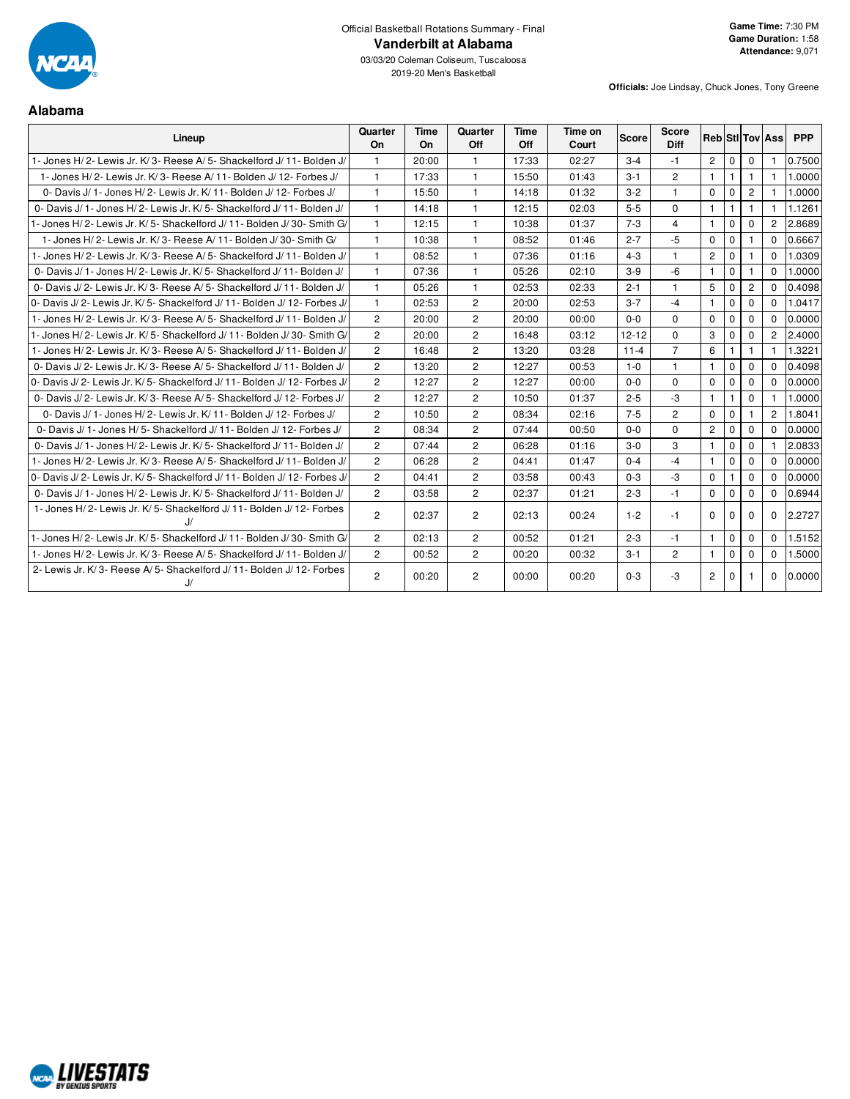

**Alabama**

03/03/20 Coleman Coliseum, Tuscaloosa 2019-20 Men's Basketball

**Officials:** Joe Lindsay, Chuck Jones, Tony Greene

#### **Lineup Quarter On Time On Quarter Off Time Off Time on Court Score Score Diff Reb Stl Tov Ass PPP** 1- Jones H/ 2- Lewis Jr. K/ 3- Reese A/ 5- Shackelford J/ 11- Bolden J/ 1 20:00 1 17:33 02:27 3-4 -1 2 0 0 1 0.7500 1- Jones H/ 2- Lewis Jr. K/ 3- Reese A/ 11- Bolden J/ 12- Forbes J/ 1 17:33 1 15:50 01:43 3-1 2 1 1 1 1 1.0000 0- Davis J/ 1- Jones H/ 2- Lewis Jr. K/ 11- Bolden J/ 12- Forbes J/ 1 | 15:50 | 1 | 14:18 | 01:32 | 3-2 | 1 | 0 | 0 | 2 | 1 | 1.0000 0- Davis J/ 1- Jones H/ 2- Lewis Jr. K/ 5- Shackelford J/ 11 - Bolden J/ | 1 | 14:18 | 1 | 12:15 | 02:03 | 5-5 | 0 | 1 | 1 | 1 | 1 | 11:1261 1- Jones H/ 2- Lewis Jr. K/ 5- Shackelford J/ 11- Bolden J/ 30- Smith G/ 1 12:15 1 10:38 01:37 7-3 4 1 0 0 2 2.8689 1- Jones H/ 2- Lewis Jr. K/ 3- Reese A/ 11- Bolden J/ 30- Smith G/ 1 10:38 1 08:52 01:46 2-7 -5 0 0 1 0 0.6667 1- Jones H/ 2- Lewis Jr. K/ 3- Reese A/ 5- Shackelford J/ 11- Bolden J/ 1 08:52 1 07:36 01:16 4-3 1 2 0 1 0 1.0309 0- Davis J/ 1- Jones H/ 2- Lewis Jr. K/ 5- Shackelford J/ 11- Bolden J/ | 1 | 07:36 | 1 | 05:26 | 02:10 | 3-9 | -6 | 1 | 0 | 1 | 0 | 1.0000 0- Davis J/ 2- Lewis Jr. K/ 3- Reese A/ 5- Shackelford J/ 11 | 05:26 | 1 | 02:53 02:33 | 2-1 | 1 | 5 | 0 | 2 | 0 | 0.4098 0- Davis J/ 2- Lewis Jr. K/ 5- Shackelford J/ 11- Bolden J/ 12- Forbes J/ 1 0 12:53 2 20:00 02:53 3-7 -4 1 0 0 1.0417 1- Jones H/ 2- Lewis Jr. K/ 3- Reese A/ 5- Shackelford J/ 11- Bolden J/ 2 20:00 2 20:00 00:00 00:00 0-0 0 0 0 0 0 0 0 00:000 1- Jones H/ 2- Lewis Jr. K/ 5- Shackelford J/ 11- Bolden J/ 30- Smith G/ 2 20:00 2 16:48 03:12 12-12 0 3 0 0 2 2.4000 1- Jones H/ 2- Lewis Jr. K/ 3- Reese A/ 5- Shackelford J/ 11- Bolden J/ 2 | 16:48 | 2 | 13:20 | 03:28 | 11-4 | 7 | 6 | 1 | 1 | 1 | 1.3221 0- Davis J/ 2- Lewis Jr. K/ 3- Reese A/ 5- Shackelford J/ 11- Bolden J/ | 2 | 13:20 | 2 | 12:27 | 00:53 | 1-0 | 1 | 1 | 0 | 0 | 0 | 0.4098 0- Davis J/ 2- Lewis Jr. K/ 5- Shackelford J/ 11- Bolden J/ 12- Forbes J/ 2 12:27 2 12:27 00:00 0-0 0 0 0 0 0 0 0 0 0 0 00000 0- Davis J/ 2- Lewis Jr. K/ 3- Reese A/ 5- Shackelford J/ 12- Forbes J/ 2 12:27 2 10:50 01:37 2-5 -3 1 1 0 1 1 0 1 1.0000 0- Davis J/ 1- Jones H/ 2- Lewis Jr. K/ 11- Bolden J/ 12- Forbes J/ 2 10:50 2 08:34 02:16 7-5 2 0 0 1 2 1.8041 0- Davis J/ 1- Jones H/ 5- Shackelford J/ 11- Bolden J/ 12- Forbes J/ 2 08:34 2 07:44 00:50 0-0 0 2 0 0 0.0000 0- Davis J/ 1- Jones H/ 2- Lewis Jr. K/ 5- Shackelford J/ 11- Bolden J/ | 2 | 07:44 | 2 | 06:28 | 01:16 | 3-0 | 3 | 1 | 0 | 0 | 1 | 2.0833 1- Jones H/ 2- Lewis Jr. K/ 3- Reese A/ 5- Shackelford J/ 11- Bolden J/ 2 06:28 2 04:41 01:47 0-4 -4 1 0 0 0 0.0000 0- Davis J/ 2- Lewis Jr. K/ 5- Shackelford J/ 11- Bolden J/ 12- Forbes J/ 2 04:41 2 03:58 00:43 0-3 0-3 0 1 0 0 0.0000 0- Davis J/ 1- Jones H/ 2- Lewis Jr. K/ 5- Shackelford J/ 11- Bolden J/ | 2 | 03:58 | 2 | 02:37 | 01:21 | 2-3 | -1 | 0 | 0 | 0 | 0 | 0 | 0 0.6944 1- Jones H/ 2- Lewis Jr. K/ 5- Shackelford J/ 11- Bolden J/ 12- Forbes  $J/$ 2 | 02:37 | 2 | 02:13 | 00:24 | 1-2 | -1 | 0 | 0 | 0 | 0 | 0 |2.2727| 1- Jones H/ 2- Lewis Jr. K/ 5- Shackelford J/ 11- Bolden J/ 30- Smith G/ 2 02:13 2 00:52 01:21 2-3 -1 1 0 0 0 1.5152 1- Jones H/ 2- Lewis Jr. K/ 3- Reese A/ 5- Shackelford J/ 11- Bolden J/ 2 00:52 2 00:20 00:32 3-1 2 1 0 0 0 1.5000 2- Lewis Jr. K/ 3- Reese A/ 5- Shackelford J/ 11- Bolden J/ 12- Forbes J/ 2 | 00:20 | 2 | 00:00 | 00:20 | 0-3 | -3 | 2 | 0 | 1 | 0 |0.0000 |

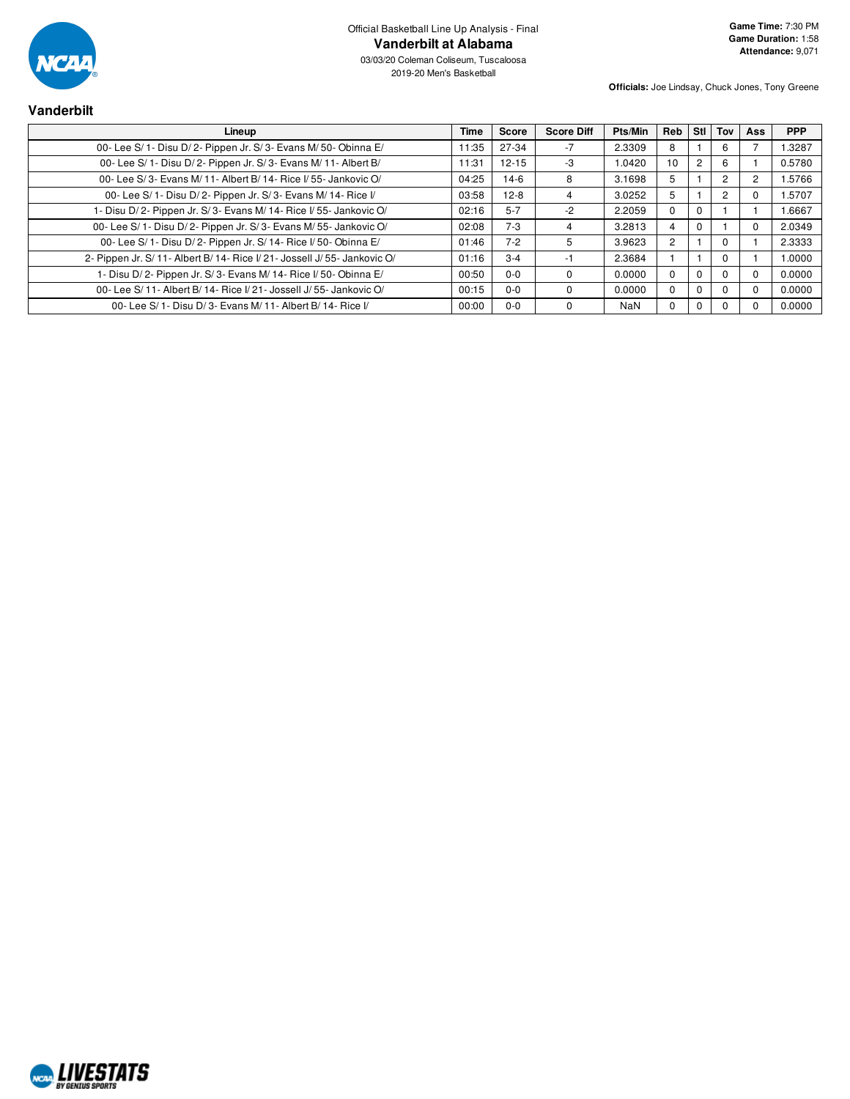

**Vanderbilt**

03/03/20 Coleman Coliseum, Tuscaloosa 2019-20 Men's Basketball

| Lineup                                                                    | Time  | <b>Score</b> | <b>Score Diff</b> | Pts/Min    | Reb            | Stl            | Tov      | Ass            | <b>PPP</b> |
|---------------------------------------------------------------------------|-------|--------------|-------------------|------------|----------------|----------------|----------|----------------|------------|
| 00- Lee S/ 1- Disu D/ 2- Pippen Jr. S/ 3- Evans M/ 50- Obinna E/          | 11:35 | 27-34        | $-7$              | 2.3309     | 8              |                | 6        |                | 1.3287     |
| 00- Lee S/ 1- Disu D/ 2- Pippen Jr. S/ 3- Evans M/ 11- Albert B/          | 11:31 | $12 - 15$    | -3                | 1.0420     | 10             | $\overline{2}$ | 6        |                | 0.5780     |
| 00- Lee S/3- Evans M/11- Albert B/14- Rice I/55- Jankovic O/              | 04:25 | 14-6         | 8                 | 3.1698     | 5              |                | 2        | $\overline{c}$ | 1.5766     |
| 00- Lee S/ 1- Disu D/ 2- Pippen Jr. S/ 3- Evans M/ 14- Rice I/            | 03:58 | $12-8$       | 4                 | 3.0252     | 5              |                | 2        | 0              | 1.5707     |
| - Disu D/2- Pippen Jr. S/3- Evans M/14- Rice I/55- Jankovic O/            | 02:16 | $5 - 7$      | -2                | 2.2059     | $\Omega$       | 0              |          |                | 1.6667     |
| 00- Lee S/ 1- Disu D/ 2- Pippen Jr. S/ 3- Evans M/ 55- Jankovic O/        | 02:08 | $7 - 3$      |                   | 3.2813     | 4              | $\Omega$       |          |                | 2.0349     |
| 00- Lee S/ 1- Disu D/ 2- Pippen Jr. S/ 14- Rice I/ 50- Obinna E/          | 01:46 | $7-2$        | 5                 | 3.9623     | $\overline{c}$ |                | $\Omega$ |                | 2.3333     |
| 2- Pippen Jr. S/ 11- Albert B/ 14- Rice I/ 21- Jossell J/ 55- Jankovic O/ | 01:16 | $3 - 4$      | -1                | 2.3684     |                |                | $\Omega$ |                | 1.0000     |
| 1- Disu D/2- Pippen Jr. S/3- Evans M/14- Rice I/50- Obinna E/             | 00:50 | $0 - 0$      |                   | 0.0000     | $\Omega$       | 0              | $\Omega$ | $\Omega$       | 0.0000     |
| 00- Lee S/ 11- Albert B/ 14- Rice I/ 21- Jossell J/ 55- Jankovic O/       | 00:15 | $0 - 0$      |                   | 0.0000     | $\Omega$       | 0              | $\Omega$ | $\Omega$       | 0.0000     |
| 00- Lee S/ 1- Disu D/ 3- Evans M/ 11- Albert B/ 14- Rice I/               | 00:00 | $0 - 0$      |                   | <b>NaN</b> | $\Omega$       | 0              |          | $\Omega$       | 0.0000     |